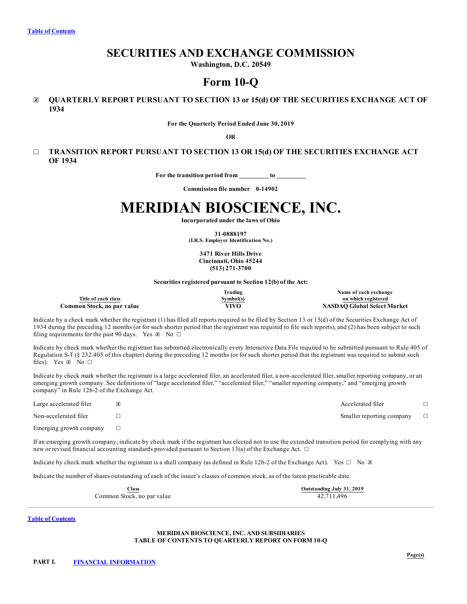# **SECURITIES AND EXCHANGE COMMISSION**

**Washington, D.C. 20549**

# **Form 10-Q**

# ☒ **QUARTERLY REPORT PURSUANT TO SECTION 13 or 15(d) OF THE SECURITIES EXCHANGE ACT OF 1934**

**For the Quarterly Period Ended June 30, 2019**

**OR**

# ☐ **TRANSITION REPORT PURSUANT TO SECTION 13 OR 15(d) OF THE SECURITIES EXCHANGE ACT OF 1934**

**For the transition period from to**

**Commission file number 0-14902**

# **MERIDIAN BIOSCIENCE, INC.**

**Incorporated under the laws of Ohio**

**31-0888197 (I.R.S. Employer Identification No.)**

**3471 River Hills Drive Cincinnati, Ohio 45244 (513) 271-3700**

**Securities registered pursuant to Section 12(b) of the Act:**

|                            | Trading   | Name of each exchange              |
|----------------------------|-----------|------------------------------------|
| Title of each class        | Symbol(s) | on which registered                |
| Common Stock, no par value | VIVO      | <b>NASDAO Global Select Market</b> |

Indicate by a check mark whether the registrant (1) has filed all reports required to be filed by Section 13 or 15(d) of the Securities Exchange Act of 1934 during the preceding 12 months (or for such shorter period that the registrant was required to file such reports), and (2) has been subject to such filing requirements for the past 90 days. Yes  $\boxtimes$  No  $\Box$ 

Indicate by check mark whether the registrant has submitted electronically every Interactive Data File required to be submitted pursuant to Rule 405 of Regulation S-T (§ 232.405 of this chapter) during the preceding 12 months (or for such shorter period that the registrant was required to submit such files). Yes  $\boxtimes$  No  $\Box$ 

Indicate by check mark whether the registrant is a large accelerated filer, an accelerated filer, a non-accelerated filer, smaller reporting company, or an emerging growth company. See definitions of "large accelerated filer," "accelerated filer," "smaller reporting company," and "emerging growth company" in Rule 12b-2 of the Exchange Act.

| Large accelerated filer | $\mathbf{x}$ | Accelerated filer         |  |
|-------------------------|--------------|---------------------------|--|
| Non-accelerated filer   |              | Smaller reporting company |  |
| Emerging growth company |              |                           |  |

If an emerging growth company, indicate by check mark if the registrant has elected not to use the extended transition period for complying with any new or revised financial accounting standards provided pursuant to Section 13(a) of the Exchange Act. □

Indicate by check mark whether the registrant is a shell company (as defined in Rule 12b-2 of the Exchange Act). Yes  $\Box$  No  $\Box$ 

Indicate the number of shares outstanding of each of the issuer's classes of common stock, as of the latest practicable date.

| $\lceil \cdot \rceil$ ass  | Outstanding July 31, 2019 |
|----------------------------|---------------------------|
| Common Stock, no par value | 42,711,496                |

**Table of Contents**

**MERIDIAN BIOSCIENCE, INC. AND SUBSIDIARIES TABLE OF CONTENTS TO QUARTERLY REPORT ON FORM 10-Q**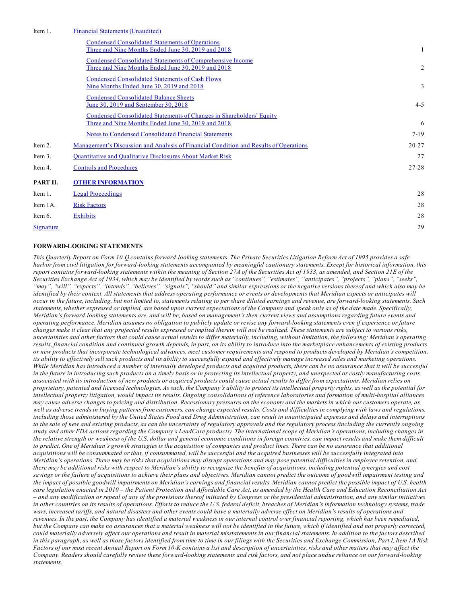| Item 1.          | <b>Financial Statements (Unaudited)</b>                                                                                    |           |
|------------------|----------------------------------------------------------------------------------------------------------------------------|-----------|
|                  | <b>Condensed Consolidated Statements of Operations</b><br>Three and Nine Months Ended June 30, 2019 and 2018               | 1         |
|                  | Condensed Consolidated Statements of Comprehensive Income<br>Three and Nine Months Ended June 30, 2019 and 2018            | 2         |
|                  | <b>Condensed Consolidated Statements of Cash Flows</b><br>Nine Months Ended June 30, 2019 and 2018                         | 3         |
|                  | <b>Condensed Consolidated Balance Sheets</b><br>June 30, 2019 and September 30, 2018                                       | $4 - 5$   |
|                  | Condensed Consolidated Statements of Changes in Shareholders' Equity<br>Three and Nine Months Ended June 30, 2019 and 2018 | 6         |
|                  | <b>Notes to Condensed Consolidated Financial Statements</b>                                                                | $7-19$    |
| Item 2.          | Management's Discussion and Analysis of Financial Condition and Results of Operations                                      | $20 - 27$ |
| Item 3.          | <b>Quantitative and Qualitative Disclosures About Market Risk</b>                                                          | 27        |
| Item 4.          | <b>Controls and Procedures</b>                                                                                             | $27 - 28$ |
| PART II.         | <b>OTHER INFORMATION</b>                                                                                                   |           |
| Item 1.          | <b>Legal Proceedings</b>                                                                                                   | 28        |
| Item 1A.         | <b>Risk Factors</b>                                                                                                        | 28        |
| Item 6.          | <b>Exhibits</b>                                                                                                            | 28        |
| <b>Signature</b> |                                                                                                                            | 29        |

# **FORWARD-LOOKING STATEMENTS**

This Quarterly Report on Form 10-O contains forward-looking statements. The Private Securities Litigation Reform Act of 1995 provides a safe harbor from civil litigation for forward-looking statements accompanied by meaningful cautionary statements. Except for historical information, this report contains forward-looking statements within the meaning of Section 27A of the Securities Act of 1933, as amended, and Section 21E of the Securities Exchange Act of 1934, which may be identified by words such as "continues", "estimates", "anticipates", "projects", "plans", "seeks" "may", "will", "expects", "intends", "believes", "signals", "should" and similar expressions or the negative versions thereof and which also may be identified by their context. All statements that address operating performance or events or developments that Meridian expects or anticipates will occur in the future, including, but not limited to, statements relating to per share diluted earnings and revenue, are forward-looking statements. Such statements, whether expressed or implied, are based upon current expectations of the Company and speak only as of the date made. Specifically, Meridian's forward-looking statements are, and will be, based on management's then-current views and assumptions regarding future events and operating performance. Meridian assumes no obligation to publicly update or revise any forward-looking statements even if experience or future changes make it clear that any projected results expressed or implied therein will not be realized. These statements are subject to various risks, uncertainties and other factors that could cause actual results to differ materially, including, without limitation, the following: Meridian's operating results, financial condition and continued growth depends, in part, on its ability to introduce into the marketplace enhancements of existing products or new products that incorporate technological advances, meet customer requirements and respond to products developed by Meridian's competition, its ability to effectively sell such products and its ability to successfully expand and effectively manage increased sales and marketing operations. While Meridian has introduced a number of internally developed products and acquired products, there can be no assurance that it will be successful in the future in introducing such products on a timely basis or in protecting its intellectual property, and unexpected or costly manufacturing costs associated with its introduction of new products or acquired products could cause actual results to differ from expectations. Meridian relies on proprietary, patented and licensed technologies. As such, the Company's ability to protect its intellectual property rights, as well as the potential for intellectual property litigation, would impact its results. Ongoing consolidations of reference laboratories and formation of multi-hospital alliances may cause adverse changes to pricing and distribution. Recessionary pressures on the economy and the markets in which our customers operate, as well as adverse trends in buying patterns from customers, can change expected results. Costs and difficulties in complying with laws and regulations, including those administered by the United States Food and Drug Administration, can result in unanticipated expenses and delays and interruptions to the sale of new and existing products, as can the uncertainty of regulatory approvals and the regulatory process (including the currently ongoing study and other FDA actions regarding the Company's LeadCare products). The international scope of Meridian's operations, including changes in the relative strength or weakness of the U.S. dollar and general economic conditions in foreign countries, can impact results and make them difficult to predict. One of Meridian's growth strategies is the acquisition of companies and product lines. There can be no assurance that additional acquisitions will be consummated or that, if consummated, will be successful and the acquired businesses will be successfully integrated into Meridian's operations. There may be risks that acquisitions may disrupt operations and may pose potential difficulties in employee retention, and there may be additional risks with respect to Meridian's ability to recognize the benefits of acquisitions, including potential synergies and cost savings or the failure of acquisitions to achieve their plans and objectives. Meridian cannot predict the outcome of goodwill impairment testing and the impact of possible goodwill impairments on Meridian's earnings and financial results. Meridian cannot predict the possible impact of U.S. health care legislation enacted in 2010 – the Patient Protection and Affordable Care Act, as amended by the Health Care and Education Reconciliation Act - and any modification or repeal of any of the provisions thereof initiated by Congress or the presidential administration, and any similar initiatives in other countries on its results of operations. Efforts to reduce the U.S. federal deficit, breaches of Meridian's information technology systems, trade wars, increased tariffs, and natural disasters and other events could have a materially adverse effect on Meridian's results of operations and revenues. In the past, the Company has identified a material weakness in our internal control over financial reporting, which has been remediated, but the Company can make no assurances that a material weakness will not be identified in the future, which if identified and not properly corrected, could materially adversely affect our operations and result in material misstatements in our financial statements. In addition to the factors described in this paragraph, as well as those factors identified from time to time in our filings with the Securities and Exchange Commission, Part I, Item 1A Risk Factors of our most recent Annual Report on Form 10-K contains a list and description of uncertainties, risks and other matters that may affect the Company. Readers should carefully review these forward-looking statements and risk factors, and not place undue reliance on our forward-looking *statements.*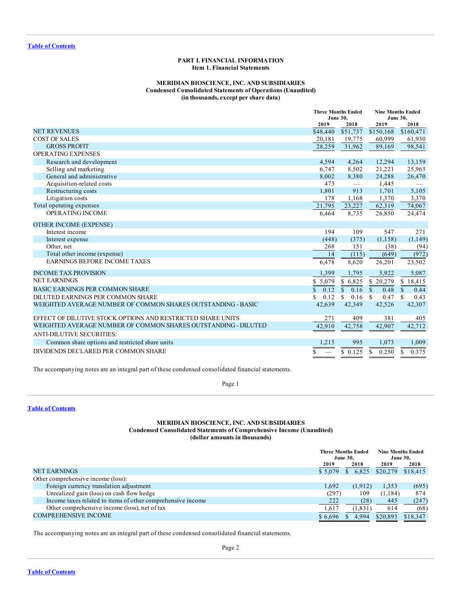#### **PART I. FINANCIAL INFORMATION Item 1. Financial Statements**

#### **MERIDIAN BIOSCIENCE, INC. AND SUBSIDIARIES Condensed Consolidated Statements of Operations (Unaudited) (in thousands, except per share data)**

|                                                                | <b>Three Months Ended</b> |                      | <b>Nine Months Ended</b> |                         |  |
|----------------------------------------------------------------|---------------------------|----------------------|--------------------------|-------------------------|--|
|                                                                | <b>June 30.</b><br>2019   |                      | June 30,                 |                         |  |
| <b>NET REVENUES</b>                                            | \$48,440                  | 2018                 | 2019<br>\$150,168        | 2018                    |  |
|                                                                |                           | \$51,737             |                          | \$160,471               |  |
| <b>COST OF SALES</b><br><b>GROSS PROFIT</b>                    | 20,181                    | 19,775               | 60,999                   | 61,930                  |  |
|                                                                | 28,259                    | 31,962               | 89,169                   | 98,541                  |  |
| <b>OPERATING EXPENSES</b>                                      |                           |                      |                          |                         |  |
| Research and development                                       | 4.594                     | 4,264                | 12,294                   | 13,159                  |  |
| Selling and marketing                                          | 6,747                     | 8,502                | 21,221                   | 25,963                  |  |
| General and administrative                                     | 8,002                     | 8,380                | 24,288                   | 26,470                  |  |
| Acquisition-related costs                                      | 473                       | $\qquad \qquad$      | 1,445                    |                         |  |
| Restructuring costs                                            | 1.801                     | 913                  | 1,701                    | 5,105                   |  |
| Litigation costs                                               | 178                       | 1,168                | 1,370                    | 3,370                   |  |
| Total operating expenses                                       | 21,795                    | 23,227               | 62,319                   | 74,067                  |  |
| OPERATING INCOME                                               | 6,464                     | 8,735                | 26,850                   | 24,474                  |  |
| <b>OTHER INCOME (EXPENSE)</b>                                  |                           |                      |                          |                         |  |
| Interest income                                                | 194                       | 109                  | 547                      | 271                     |  |
| Interest expense                                               | (448)                     | (375)                | (1,158)                  | (1,149)                 |  |
| Other, net                                                     | 268                       | 151                  | (38)                     | (94)                    |  |
| Total other income (expense)                                   | 14                        | (115)                | (649)                    | (972)                   |  |
| <b>EARNINGS BEFORE INCOME TAXES</b>                            | 6,478                     | 8,620                | 26,201                   | 23,502                  |  |
| <b>INCOME TAX PROVISION</b>                                    | 1,399                     | 1,795                | 5,922                    | 5,087                   |  |
| <b>NET EARNINGS</b>                                            | \$5,079                   | \$6,825              | 20,279<br>\$             | 18,415<br><sup>\$</sup> |  |
| <b>BASIC EARNINGS PER COMMON SHARE</b>                         | 0.12                      | $\mathbb{S}$<br>0.16 | <sup>S</sup><br>0.48     | <sup>\$</sup><br>0.44   |  |
| DILUTED EARNINGS PER COMMON SHARE                              | \$<br>0.12                | \$.<br>0.16          | 0.47<br>-S               | 0.43<br><sup>\$</sup>   |  |
| WEIGHTED AVERAGE NUMBER OF COMMON SHARES OUTSTANDING - BASIC   | 42,639                    | 42,349               | 42,526                   | 42,307                  |  |
| EFFECT OF DILUTIVE STOCK OPTIONS AND RESTRICTED SHARE UNITS    | 271                       | 409                  | 381                      | 405                     |  |
| WEIGHTED AVERAGE NUMBER OF COMMON SHARES OUTSTANDING - DILUTED | 42,910                    | 42,758               | 42,907                   | 42,712                  |  |
| <b>ANTI-DILUTIVE SECURITIES:</b>                               |                           |                      |                          |                         |  |
| Common share options and restricted share units                | 1,215                     | 995                  | 1,073                    | 1,009                   |  |
| DIVIDENDS DECLARED PER COMMON SHARE                            | S                         | \$0.125              | 0.250<br><b>S</b>        | 0.375<br><sup>\$</sup>  |  |

The accompanying notes are an integral part of these condensed consolidated financial statements.

Page 1

# **Table of Contents**

#### **MERIDIAN BIOSCIENCE, INC. AND SUBSIDIARIES Condensed Consolidated Statements of Comprehensive Income (Unaudited) (dollar amounts in thousands)**

|                                                             | <b>Three Months Ended</b> |                       | <b>Nine Months Ended</b> |          |
|-------------------------------------------------------------|---------------------------|-----------------------|--------------------------|----------|
|                                                             | <b>June 30.</b>           |                       | <b>June 30.</b>          |          |
|                                                             | 2019                      | 2018                  | 2019                     | 2018     |
| <b>NET EARNINGS</b>                                         | \$5.079                   | 6,825<br><sup>S</sup> | \$20,279                 | \$18,415 |
| Other comprehensive income (loss):                          |                           |                       |                          |          |
| Foreign currency translation adjustment                     | 1.692                     | (1,912)               | 1,353                    | (695)    |
| Unrealized gain (loss) on cash flow hedge                   | (297`                     | 109                   | (1, 184)                 | 874      |
| Income taxes related to items of other comprehensive income | 222                       | (28)                  | 445                      | (247)    |
| Other comprehensive income (loss), net of tax               | 1,617                     | (1, 831)              | 614                      | (68)     |
| <b>COMPREHENSIVE INCOME</b>                                 | \$6.696                   | 4.994                 | \$20,893                 | \$18,347 |

The accompanying notes are an integral part of these condensed consolidated financial statements.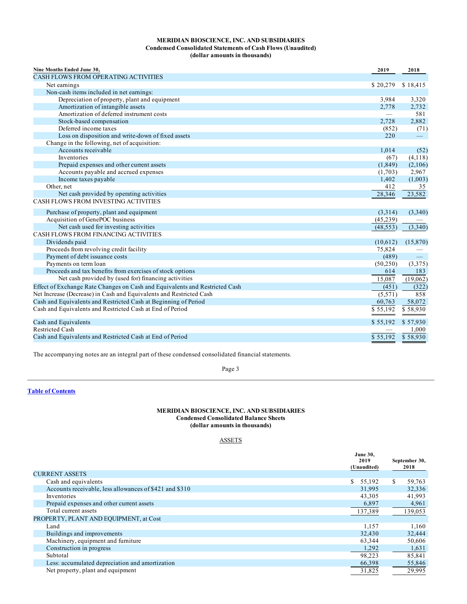# **MERIDIAN BIOSCIENCE, INC. AND SUBSIDIARIES Condensed Consolidated Statements of Cash Flows (Unaudited) (dollar amounts in thousands)**

| Nine Months Ended June 30,                                                  | 2019      | 2018      |
|-----------------------------------------------------------------------------|-----------|-----------|
| <b>CASH FLOWS FROM OPERATING ACTIVITIES</b>                                 |           |           |
| Net earnings                                                                | \$20,279  | \$18,415  |
| Non-cash items included in net earnings:                                    |           |           |
| Depreciation of property, plant and equipment                               | 3,984     | 3,320     |
| Amortization of intangible assets                                           | 2,778     | 2,732     |
| Amortization of deferred instrument costs                                   |           | 581       |
| Stock-based compensation                                                    | 2,728     | 2,882     |
| Deferred income taxes                                                       | (852)     | (71)      |
| Loss on disposition and write-down of fixed assets                          | 220       |           |
| Change in the following, net of acquisition:                                |           |           |
| Accounts receivable                                                         | 1,014     | (52)      |
| Inventories                                                                 | (67)      | (4, 118)  |
| Prepaid expenses and other current assets                                   | (1, 849)  | (2,106)   |
| Accounts payable and accrued expenses                                       | (1,703)   | 2,967     |
| Income taxes payable                                                        | 1,402     | (1,003)   |
| Other, net                                                                  | 412       | 35        |
| Net cash provided by operating activities                                   | 28,346    | 23,582    |
| CASH FLOWS FROM INVESTING ACTIVITIES                                        |           |           |
| Purchase of property, plant and equipment                                   | (3,314)   | (3,340)   |
| Acquisition of GenePOC business                                             | (45,239)  |           |
| Net cash used for investing activities                                      | (48, 553) | (3,340)   |
| CASH FLOWS FROM FINANCING ACTIVITIES                                        |           |           |
| Dividends paid                                                              | (10,612)  | (15, 870) |
| Proceeds from revolving credit facility                                     | 75,824    |           |
| Payment of debt issuance costs                                              | (489)     | $\equiv$  |
| Payments on term loan                                                       | (50,250)  | (3,375)   |
| Proceeds and tax benefits from exercises of stock options                   | 614       | 183       |
| Net cash provided by (used for) financing activities                        | 15,087    | (19,062)  |
| Effect of Exchange Rate Changes on Cash and Equivalents and Restricted Cash | (451)     | (322)     |
| Net Increase (Decrease) in Cash and Equivalents and Restricted Cash         | (5, 571)  | 858       |
| Cash and Equivalents and Restricted Cash at Beginning of Period             | 60,763    | 58,072    |
| Cash and Equivalents and Restricted Cash at End of Period                   | \$55,192  | \$58,930  |
| Cash and Equivalents                                                        | \$55,192  | \$57,930  |
| <b>Restricted Cash</b>                                                      |           | 1,000     |
| Cash and Equivalents and Restricted Cash at End of Period                   | \$55,192  | \$58,930  |

The accompanying notes are an integral part of these condensed consolidated financial statements.

Page 3

# **Table of Contents**

#### **MERIDIAN BIOSCIENCE, INC. AND SUBSIDIARIES Condensed Consolidated Balance Sheets (dollar amounts in thousands)**

# **ASSETS**

|                                                         | <b>June 30,</b><br>2019<br>(Unaudited) | September 30,<br>2018 |
|---------------------------------------------------------|----------------------------------------|-----------------------|
| <b>CURRENT ASSETS</b>                                   |                                        |                       |
| Cash and equivalents                                    | 55,192<br>S.                           | S.<br>59,763          |
| Accounts receivable, less allowances of \$421 and \$310 | 31.995                                 | 32,336                |
| Inventories                                             | 43,305                                 | 41,993                |
| Prepaid expenses and other current assets               | 6,897                                  | 4,961                 |
| Total current assets                                    | 137,389                                | 139,053               |
| PROPERTY, PLANT AND EQUIPMENT, at Cost                  |                                        |                       |
| Land                                                    | 1.157                                  | 1,160                 |
| Buildings and improvements                              | 32,430                                 | 32,444                |
| Machinery, equipment and furniture                      | 63.344                                 | 50,606                |
| Construction in progress                                | 1,292                                  | 1,631                 |
| Subtotal                                                | 98,223                                 | 85,841                |
| Less: accumulated depreciation and amortization         | 66,398                                 | 55,846                |
| Net property, plant and equipment                       | 31,825                                 | 29,995                |
|                                                         |                                        |                       |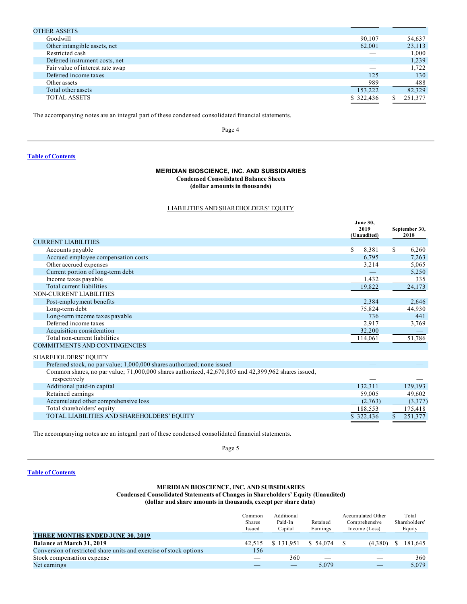| <b>OTHER ASSETS</b>              |           |         |
|----------------------------------|-----------|---------|
| Goodwill                         | 90,107    | 54,637  |
| Other intangible assets, net     | 62,001    | 23,113  |
| Restricted cash                  |           | 1,000   |
| Deferred instrument costs, net   |           | 1,239   |
| Fair value of interest rate swap |           | 1,722   |
| Deferred income taxes            | 125       | 130     |
| Other assets                     | 989       | 488     |
| Total other assets               | 153,222   | 82,329  |
| <b>TOTAL ASSETS</b>              | \$322,436 | 251.377 |
|                                  |           |         |
|                                  |           |         |

The accompanying notes are an integral part of these condensed consolidated financial statements.

Page 4

# **Table of Contents**

# **MERIDIAN BIOSCIENCE, INC. AND SUBSIDIARIES Condensed Consolidated Balance Sheets**

**(dollar amounts in thousands)**

# LIABILITIES AND SHAREHOLDERS' EQUITY

|                                                                                                                     | June 30,<br>2019<br>(Unaudited) | September 30,<br>2018 |
|---------------------------------------------------------------------------------------------------------------------|---------------------------------|-----------------------|
| <b>CURRENT LIABILITIES</b>                                                                                          |                                 |                       |
| Accounts payable                                                                                                    | S.<br>8,381                     | \$<br>6,260           |
| Accrued employee compensation costs                                                                                 | 6,795                           | 7,263                 |
| Other accrued expenses                                                                                              | 3,214                           | 5,065                 |
| Current portion of long-term debt                                                                                   |                                 | 5,250                 |
| Income taxes payable                                                                                                | 1,432                           | 335                   |
| Total current liabilities                                                                                           | 19,822                          | 24,173                |
| <b>NON-CURRENT LIABILITIES</b>                                                                                      |                                 |                       |
| Post-employment benefits                                                                                            | 2,384                           | 2,646                 |
| Long-term debt                                                                                                      | 75,824                          | 44,930                |
| Long-term income taxes payable                                                                                      | 736                             | 441                   |
| Deferred income taxes                                                                                               | 2,917                           | 3,769                 |
| Acquisition consideration                                                                                           | 32,200                          |                       |
| Total non-current liabilities                                                                                       | 114,061                         | 51,786                |
| <b>COMMITMENTS AND CONTINGENCIES</b>                                                                                |                                 |                       |
| <b>SHAREHOLDERS' EQUITY</b>                                                                                         |                                 |                       |
| Preferred stock, no par value; 1,000,000 shares authorized; none issued                                             |                                 |                       |
| Common shares, no par value; 71,000,000 shares authorized, 42,670,805 and 42,399,962 shares issued,<br>respectively |                                 |                       |
| Additional paid-in capital                                                                                          | 132,311                         | 129,193               |
| Retained earnings                                                                                                   | 59,005                          | 49,602                |
| Accumulated other comprehensive loss                                                                                | (2,763)                         | (3,377)               |
| Total shareholders' equity                                                                                          | 188,553                         | 175,418               |
| TOTAL LIABILITIES AND SHAREHOLDERS' EQUITY                                                                          | \$322,436                       | 251,377<br>\$         |
|                                                                                                                     |                                 |                       |

The accompanying notes are an integral part of these condensed consolidated financial statements.

Page 5

#### **Table of Contents**

# **MERIDIAN BIOSCIENCE, INC. AND SUBSIDIARIES**

**Condensed Consolidated Statements of Changes in Shareholders' Equity (Unaudited)**

**(dollar and share amounts in thousands, except per share data)**

|                                                                    | Common<br><b>Shares</b><br>Issued | Additional<br>Paid-In<br>Capital | Retained<br>Earnings | Accumulated Other<br>Comprehensive<br>Income (Loss) | Total<br>Shareholders'<br>Equity |  |
|--------------------------------------------------------------------|-----------------------------------|----------------------------------|----------------------|-----------------------------------------------------|----------------------------------|--|
| <b>THREE MONTHS ENDED JUNE 30, 2019</b>                            |                                   |                                  |                      |                                                     |                                  |  |
| Balance at March 31, 2019                                          | 42.515                            | \$131.951                        | \$54,074             | (4.380)                                             | 181.645                          |  |
| Conversion of restricted share units and exercise of stock options | 156                               |                                  |                      |                                                     |                                  |  |
| Stock compensation expense                                         |                                   | 360                              |                      |                                                     | 360                              |  |
| Net earnings                                                       |                                   |                                  | 5.079                | $-$                                                 | 5.079                            |  |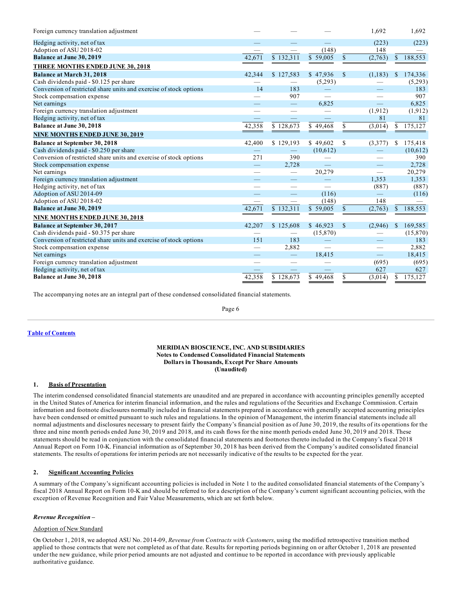| Foreign currency translation adjustment                            |                          |                          |                        |               | 1,692                    |              | 1,692     |
|--------------------------------------------------------------------|--------------------------|--------------------------|------------------------|---------------|--------------------------|--------------|-----------|
| Hedging activity, net of tax                                       |                          |                          |                        |               | (223)                    |              | (223)     |
| Adoption of ASU 2018-02                                            |                          |                          | (148)                  |               | 148                      |              |           |
| Balance at June 30, 2019                                           | 42,671                   | \$132,311                | $\overline{\$}$ 59,005 | $\mathbb{S}$  | (2,763)                  | $\mathbb{S}$ | 188,553   |
| THREE MONTHS ENDED JUNE 30, 2018                                   |                          |                          |                        |               |                          |              |           |
| <b>Balance at March 31, 2018</b>                                   | 42,344                   | \$127,583                | \$47,936               | $\mathbb{S}$  | (1, 183)                 | S            | 174,336   |
| Cash dividends paid - \$0.125 per share                            |                          |                          | (5,293)                |               |                          |              | (5,293)   |
| Conversion of restricted share units and exercise of stock options | 14                       | 183                      |                        |               |                          |              | 183       |
| Stock compensation expense                                         |                          | 907                      |                        |               |                          |              | 907       |
| Net earnings                                                       |                          | $\overline{\phantom{m}}$ | 6,825                  |               | $\equiv$                 |              | 6,825     |
| Foreign currency translation adjustment                            |                          |                          |                        |               | (1, 912)                 |              | (1, 912)  |
| Hedging activity, net of tax                                       |                          |                          |                        |               | 81                       |              | 81        |
| Balance at June 30, 2018                                           | 42,358                   | \$128,673                | \$49,468               | \$            | (3,014)                  |              | \$175,127 |
| <b>NINE MONTHS ENDED JUNE 30, 2019</b>                             |                          |                          |                        |               |                          |              |           |
| Balance at September 30, 2018                                      | 42,400                   | \$129,193                | \$49,602               | S             | (3,377)                  | S            | 175,418   |
| Cash dividends paid - \$0.250 per share                            |                          |                          | (10,612)               |               |                          |              | (10,612)  |
| Conversion of restricted share units and exercise of stock options | 271                      | 390                      |                        |               |                          |              | 390       |
| Stock compensation expense                                         |                          | 2,728                    |                        |               |                          |              | 2,728     |
| Net earnings                                                       |                          |                          | 20,279                 |               | $\qquad \qquad$          |              | 20,279    |
| Foreign currency translation adjustment                            |                          |                          |                        |               | 1,353                    |              | 1,353     |
| Hedging activity, net of tax                                       |                          |                          |                        |               | (887)                    |              | (887)     |
| Adoption of ASU 2014-09                                            |                          | $\qquad \qquad \qquad$   | (116)                  |               |                          |              | (116)     |
| Adoption of ASU 2018-02                                            |                          |                          | (148)                  |               | 148                      |              |           |
| Balance at June 30, 2019                                           | 42,671                   | \$132,311                | \$59,005               | $\mathbb{S}$  | (2,763)                  | $\mathbb{S}$ | 188,553   |
| <b>NINE MONTHS ENDED JUNE 30, 2018</b>                             |                          |                          |                        |               |                          |              |           |
| <b>Balance at September 30, 2017</b>                               | 42,207                   | \$125,608                | \$46,923               | <sup>\$</sup> | (2,946)                  | S            | 169,585   |
| Cash dividends paid - \$0.375 per share                            |                          |                          | (15,870)               |               |                          |              | (15,870)  |
| Conversion of restricted share units and exercise of stock options | 151                      | 183                      |                        |               |                          |              | 183       |
| Stock compensation expense                                         | $\overline{\phantom{0}}$ | 2,882                    |                        |               |                          |              | 2,882     |
| Net earnings                                                       |                          | $\overline{\phantom{m}}$ | 18,415                 |               | $\overline{\phantom{0}}$ |              | 18,415    |
| Foreign currency translation adjustment                            |                          |                          |                        |               | (695)                    |              | (695)     |
| Hedging activity, net of tax                                       |                          |                          |                        |               | 627                      |              | 627       |
| Balance at June 30, 2018                                           | 42,358                   | \$128,673                | \$49,468               | \$            | (3,014)                  | S            | 175,127   |

The accompanying notes are an integral part of these condensed consolidated financial statements.

Page 6

#### **Table of Contents**

#### **MERIDIAN BIOSCIENCE, INC. AND SUBSIDIARIES Notes to Condensed Consolidated Financial Statements Dollars in Thousands, Except Per Share Amounts (Unaudited)**

# **1. Basis of Presentation**

The interim condensed consolidated financial statements are unaudited and are prepared in accordance with accounting principles generally accepted in the United States of America for interim financial information, and the rules and regulations of the Securities and Exchange Commission. Certain information and footnote disclosures normally included in financial statements prepared in accordance with generally accepted accounting principles have been condensed or omitted pursuant to such rules and regulations. In the opinion of Management, the interim financial statements include all normal adjustments and disclosures necessary to present fairly the Company's financial position as of June 30, 2019, the results of its operations for the three and nine month periods ended June 30, 2019 and 2018, and its cash flows for the nine month periods ended June 30, 2019 and 2018. These statements should be read in conjunction with the consolidated financial statements and footnotes thereto included in the Company's fiscal 2018 Annual Report on Form 10-K. Financial information as of September 30, 2018 has been derived from the Company's audited consolidated financial statements. The results of operations for interim periods are not necessarily indicative of the results to be expected for the year.

#### **2. Significant Accounting Policies**

A summary of the Company's significant accounting policies is included in Note 1 to the audited consolidated financial statements of the Company's fiscal 2018 Annual Report on Form 10-K and should be referred to for a description of the Company's current significant accounting policies, with the exception of Revenue Recognition and Fair Value Measurements, which are set forth below.

#### *Revenue Recognition –*

#### Adoption of New Standard

On October 1, 2018, we adopted ASU No. 2014-09, *Revenue from Contracts with Customers*, using the modified retrospective transition method applied to those contracts that were not completed as of that date. Results for reporting periods beginning on or after October 1, 2018 are presented under the new guidance, while prior period amounts are not adjusted and continue to be reported in accordance with previously applicable authoritative guidance.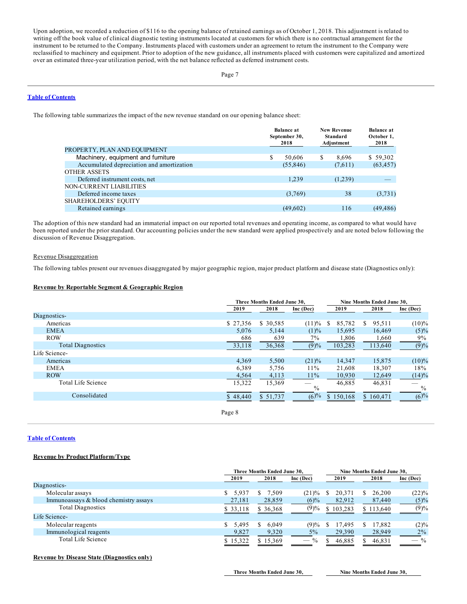Upon adoption, we recorded a reduction of \$116 to the opening balance of retained earnings as of October 1, 2018. This adjustment is related to writing off the book value of clinical diagnostic testing instruments located at customers for which there is no contractual arrangement for the instrument to be returned to the Company. Instruments placed with customers under an agreement to return the instrument to the Company were reclassified to machinery and equipment. Prior to adoption of the new guidance, all instruments placed with customers were capitalized and amortized over an estimated three-year utilization period, with the net balance reflected as deferred instrument costs.

# **Table of Contents**

The following table summarizes the impact of the new revenue standard on our opening balance sheet:

|                                           |   | <b>Balance at</b><br>September 30,<br>2018 |   | <b>New Revenue</b><br><b>Standard</b><br>Adjustment | <b>Balance at</b><br>October 1,<br>2018 |
|-------------------------------------------|---|--------------------------------------------|---|-----------------------------------------------------|-----------------------------------------|
| PROPERTY, PLAN AND EQUIPMENT              |   |                                            |   |                                                     |                                         |
| Machinery, equipment and furniture        | S | 50,606                                     | S | 8,696                                               | \$59,302                                |
| Accumulated depreciation and amortization |   | (55, 846)                                  |   | (7,611)                                             | (63, 457)                               |
| <b>OTHER ASSETS</b>                       |   |                                            |   |                                                     |                                         |
| Deferred instrument costs, net            |   | 1,239                                      |   | (1,239)                                             |                                         |
| NON-CURRENT LIABILITIES                   |   |                                            |   |                                                     |                                         |
| Deferred income taxes                     |   | (3,769)                                    |   | 38                                                  | (3,731)                                 |
| <b>SHAREHOLDERS' EQUITY</b>               |   |                                            |   |                                                     |                                         |
| Retained earnings                         |   | (49,602)                                   |   | 116                                                 | (49, 486)                               |

The adoption of this new standard had an immaterial impact on our reported total revenues and operating income, as compared to what would have been reported under the prior standard. Our accounting policies under the new standard were applied prospectively and are noted below following the discussion of Revenue Disaggregation.

#### Revenue Disaggregation

The following tables present our revenues disaggregated by major geographic region, major product platform and disease state (Diagnostics only):

#### **Revenue by Reportable Segment & Geographic Region**

|                          |          | Three Months Ended June 30, |               | Nine Months Ended June 30, |              |           |
|--------------------------|----------|-----------------------------|---------------|----------------------------|--------------|-----------|
|                          | 2019     | 2018                        | Inc (Dec)     | 2019                       | 2018         | Inc (Dec) |
| Diagnostics-             |          |                             |               |                            |              |           |
| Americas                 | \$27,356 | \$ 30,585                   | (11)%         | 85,782<br>-S               | \$<br>95,511 | $(10)\%$  |
| <b>EMEA</b>              | 5.076    | 5,144                       | $(1)\%$       | 15,695                     | 16,469       | $(5)\%$   |
| <b>ROW</b>               | 686      | 639                         | 7%            | 1,806                      | 1,660        | 9%        |
| <b>Total Diagnostics</b> | 33,118   | 36,368                      | (9)%          | 103,283                    | 113,640      | (9)%      |
| Life Science-            |          |                             |               |                            |              |           |
| Americas                 | 4.369    | 5,500                       | $(21)\%$      | 14,347                     | 15,875       | $(10)\%$  |
| <b>EMEA</b>              | 6,389    | 5,756                       | $11\%$        | 21,608                     | 18,307       | 18%       |
| <b>ROW</b>               | 4,564    | 4,113                       | 11%           | 10,930                     | 12,649       | $(14)\%$  |
| Total Life Science       | 15,322   | 15,369                      | $\frac{0}{0}$ | 46,885                     | 46,831       | $\%$      |
| Consolidated             | \$48,440 | \$51,737                    | (6)%          | \$150,168                  | \$160,471    | (6)%      |
|                          | Page 8   |                             |               |                            |              |           |

**Table of Contents**

#### **Revenue by Product Platform/Type**

|                                       |          | Three Months Ended June 30, |           |           | Nine Months Ended June 30, |           |  |
|---------------------------------------|----------|-----------------------------|-----------|-----------|----------------------------|-----------|--|
|                                       | 2019     | 2018                        | Inc (Dec) | 2019      | 2018                       | Inc (Dec) |  |
| Diagnostics-                          |          |                             |           |           |                            |           |  |
| Molecular assays                      | 5.937    | 7,509                       | $(21)\%$  | 20,371    | 26,200                     | $(22)\%$  |  |
| Immunoassays & blood chemistry assays | 27,181   | 28,859                      | $(6)\%$   | 82,912    | 87,440                     | $(5)\%$   |  |
| <b>Total Diagnostics</b>              | \$33,118 | \$36,368                    | (9)%      | \$103.283 | \$113,640                  | (9)%      |  |
| Life Science-                         |          |                             |           |           |                            |           |  |
| Molecular reagents                    | 5.495    | 6.049                       | (9)%      | 17,495    | 17,882<br>S                | $(2)\%$   |  |
| Immunological reagents                | 9,827    | 9,320                       | 5%        | 29,390    | 28,949                     | $2\%$     |  |
| Total Life Science                    | \$15,322 | \$15,369                    | $-$ %     | 46,885    | 46,831                     | $-$ %     |  |

**Revenue by Disease State (Diagnostics only)**

**Three Months Ended June 30, Nine Months Ended June 30,**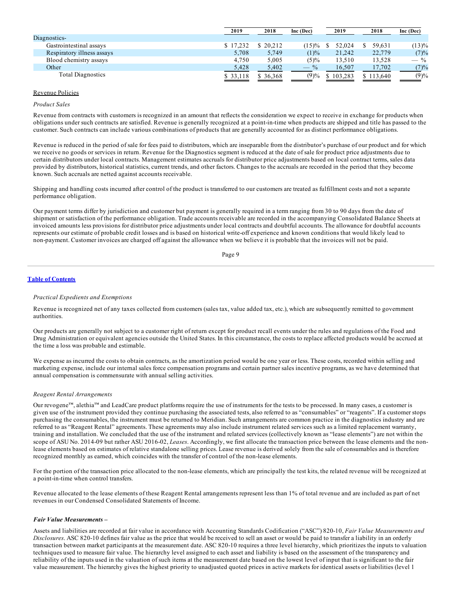|                            | 2019      | 2018     | Inc (Dec) | 2019    | 2018      | Inc (Dec) |
|----------------------------|-----------|----------|-----------|---------|-----------|-----------|
| Diagnostics-               |           |          |           |         |           |           |
| Gastrointestinal assays    | \$17.232  | \$20.212 | (15)%     | 52.024  | 59.631    | $(13)\%$  |
| Respiratory illness assays | 5.708     | 5,749    | $(1)\%$   | 21,242  | 22,779    | (7)%      |
| Blood chemistry assays     | 4.750     | 5.005    | $(5)\%$   | 13.510  | 13,528    | $-$ %     |
| Other                      | 5,428     | 5,402    | $-$ %     | 16.507  | 17,702    | (7)%      |
| <b>Total Diagnostics</b>   | \$ 33,118 | 36,368   | (9)%      | 103,283 | \$113,640 | (9)%      |

# Revenue Policies

## *Product Sales*

Revenue from contracts with customers is recognized in an amount that reflects the consideration we expect to receive in exchange for products when obligations under such contracts are satisfied. Revenue is generally recognized at a point-in-time when products are shipped and title has passed to the customer. Such contracts can include various combinations of products that are generally accounted for as distinct performance obligations.

Revenue is reduced in the period of sale for fees paid to distributors, which are inseparable from the distributor's purchase of our product and for which we receive no goods or services in return. Revenue for the Diagnostics segment is reduced at the date of sale for product price adjustments due to certain distributors under local contracts. Management estimates accruals for distributor price adjustments based on local contract terms, sales data provided by distributors, historical statistics, current trends, and other factors. Changes to the accruals are recorded in the period that they become known. Such accruals are netted against accounts receivable.

Shipping and handling costs incurred after control of the product is transferred to our customers are treated as fulfillment costs and not a separate performance obligation.

Our payment terms differ by jurisdiction and customer but payment is generally required in a term ranging from 30 to 90 days from the date of shipment or satisfaction of the performance obligation. Trade accounts receivable are recorded in the accompanying Consolidated Balance Sheets at invoiced amounts less provisions for distributor price adjustments under local contracts and doubtful accounts. The allowance for doubtful accounts represents our estimate of probable credit losses and is based on historical write-off experience and known conditions that would likely lead to non-payment. Customer invoices are charged off against the allowance when we believe it is probable that the invoices will not be paid.

Page 9

#### **Table of Contents**

#### *Practical Expedients and Exemptions*

Revenue is recognized net of any taxes collected from customers (sales tax, value added tax, etc.), which are subsequently remitted to government authorities.

Our products are generally not subject to a customer right of return except for product recall events under the rules and regulations of the Food and Drug Administration or equivalent agencies outside the United States. In this circumstance, the costs to replace affected products would be accrued at the time a loss was probable and estimable.

We expense as incurred the costs to obtain contracts, as the amortization period would be one year or less. These costs, recorded within selling and marketing expense, include our internal sales force compensation programs and certain partner sales incentive programs, as we have determined that annual compensation is commensurate with annual selling activities.

#### *Reagent Rental Arrangements*

Our revogene™, alethia™ and LeadCare product platforms require the use of instruments for the tests to be processed. In many cases, a customer is given use of the instrument provided they continue purchasing the associated tests, also referred to as "consumables" or "reagents". If a customer stops purchasing the consumables, the instrument must be returned to Meridian. Such arrangements are common practice in the diagnostics industry and are referred to as "Reagent Rental" agreements. These agreements may also include instrument related services such as a limited replacement warranty, training and installation. We concluded that the use of the instrument and related services (collectively known as "lease elements") are not within the scope of ASU No. 2014-09 but rather ASU 2016-02, *Leases*. Accordingly, we first allocate the transaction price between the lease elements and the nonlease elements based on estimates of relative standalone selling prices. Lease revenue is derived solely from the sale of consumables and is therefore recognized monthly as earned, which coincides with the transfer of control of the non-lease elements.

For the portion of the transaction price allocated to the non-lease elements, which are principally the test kits, the related revenue will be recognized at a point-in-time when control transfers.

Revenue allocated to the lease elements of these Reagent Rental arrangements represent less than 1% of total revenue and are included as part of net revenues in our Condensed Consolidated Statements of Income.

#### *Fair Value Measurements –*

Assets and liabilities are recorded at fair value in accordance with Accounting Standards Codification ("ASC") 820-10, *Fair Value Measurements and Disclosures*. ASC 820-10 defines fair value as the price that would be received to sell an asset or would be paid to transfer a liability in an orderly transaction between market participants at the measurement date. ASC 820-10 requires a three level hierarchy, which prioritizes the inputs to valuation techniques used to measure fair value. The hierarchy level assigned to each asset and liability is based on the assessment of the transparency and reliability of the inputs used in the valuation of such items at the measurement date based on the lowest level of input that is significant to the fair value measurement. The hierarchy gives the highest priority to unadjusted quoted prices in active markets for identical assets or liabilities (level 1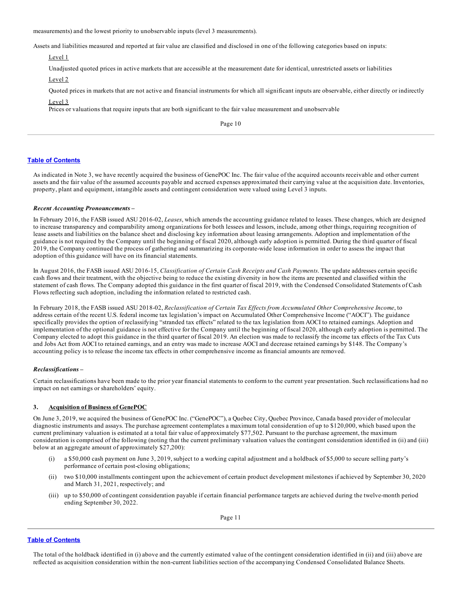measurements) and the lowest priority to unobservable inputs (level 3 measurements).

Assets and liabilities measured and reported at fair value are classified and disclosed in one of the following categories based on inputs:

Level 1

Unadjusted quoted prices in active markets that are accessible at the measurement date for identical, unrestricted assets or liabilities

Level 2

Quoted prices in markets that are not active and financial instruments for which all significant inputs are observable, either directly or indirectly

Level 3

Prices or valuations that require inputs that are both significant to the fair value measurement and unobservable

Page 10

#### **Table of Contents**

As indicated in Note 3, we have recently acquired the business of GenePOC Inc. The fair value of the acquired accounts receivable and other current assets and the fair value of the assumed accounts payable and accrued expenses approximated their carrying value at the acquisition date. Inventories, property, plant and equipment, intangible assets and contingent consideration were valued using Level 3 inputs.

#### *Recent Accounting Pronouncements –*

In February 2016, the FASB issued ASU 2016-02, *Leases*, which amends the accounting guidance related to leases. These changes, which are designed to increase transparency and comparability among organizations for both lessees and lessors, include, among other things, requiring recognition of lease assets and liabilities on the balance sheet and disclosing key information about leasing arrangements. Adoption and implementation of the guidance is not required by the Company until the beginning of fiscal 2020, although early adoption is permitted. During the third quarter of fiscal 2019, the Company continued the process of gathering and summarizing its corporate-wide lease information in order to assess the impact that adoption of this guidance will have on its financial statements.

In August 2016, the FASB issued ASU 2016-15, *Classification of Certain Cash Receipts and Cash Payments*. The update addresses certain specific cash flows and their treatment, with the objective being to reduce the existing diversity in how the items are presented and classified within the statement of cash flows. The Company adopted this guidance in the first quarter of fiscal 2019, with the Condensed Consolidated Statements of Cash Flows reflecting such adoption, including the information related to restricted cash.

In February 2018, the FASB issued ASU 2018-02, *Reclassification of Certain Tax Ef ects from Accumulated Other Comprehensive Income*, to address certain of the recent U.S. federal income tax legislation's impact on Accumulated Other Comprehensive Income ("AOCI"). The guidance specifically provides the option of reclassifying "stranded tax effects" related to the tax legislation from AOCI to retained earnings. Adoption and implementation of the optional guidance is not effective for the Company until the beginning of fiscal 2020, although early adoption is permitted. The Company elected to adopt this guidance in the third quarter of fiscal 2019. An election was made to reclassify the income tax effects of the Tax Cuts and Jobs Act from AOCI to retained earnings, and an entry was made to increase AOCI and decrease retained earnings by \$148. The Company's accounting policy is to release the income tax effects in other comprehensive income as financial amounts are removed.

#### *Reclassifications –*

Certain reclassifications have been made to the prior year financial statements to conform to the current year presentation. Such reclassifications had no impact on net earnings or shareholders' equity.

#### **3. Acquisition of Business of GenePOC**

On June 3, 2019, we acquired the business of GenePOC Inc. ("GenePOC"), a Quebec City, Quebec Province, Canada based provider of molecular diagnostic instruments and assays. The purchase agreement contemplates a maximum total consideration of up to \$120,000, which based upon the current preliminary valuation is estimated at a total fair value of approximately \$77,502. Pursuant to the purchase agreement, the maximum consideration is comprised of the following (noting that the current preliminary valuation values the contingent consideration identified in (ii) and (iii) below at an aggregate amount of approximately \$27,200):

- a \$50,000 cash payment on June 3, 2019, subject to a working capital adjustment and a holdback of \$5,000 to secure selling party's performance of certain post-closing obligations;
- (ii) two \$10,000 installments contingent upon the achievement of certain product development milestones if achieved by September 30, 2020 and March 31, 2021, respectively; and
- (iii) up to \$50,000 of contingent consideration payable if certain financial performance targets are achieved during the twelve-month period ending September 30, 2022.

#### **Table of Contents**

The total of the holdback identified in (i) above and the currently estimated value of the contingent consideration identified in (ii) and (iii) above are reflected as acquisition consideration within the non-current liabilities section of the accompanying Condensed Consolidated Balance Sheets.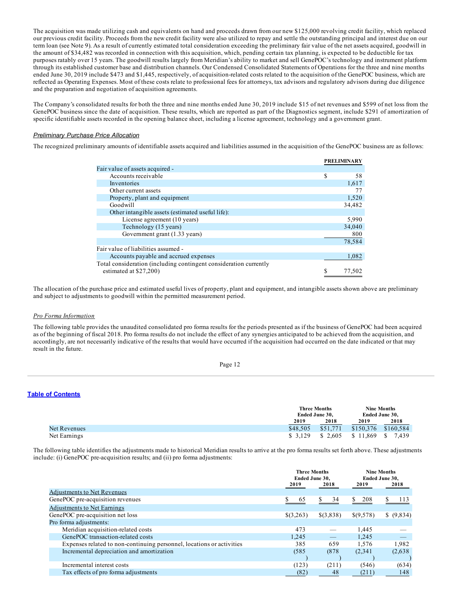The acquisition was made utilizing cash and equivalents on hand and proceeds drawn from our new \$125,000 revolving credit facility, which replaced our previous credit facility. Proceeds from the new credit facility were also utilized to repay and settle the outstanding principal and interest due on our term loan (see Note 9). As a result of currently estimated total consideration exceeding the preliminary fair value of the net assets acquired, goodwill in the amount of \$34,482 was recorded in connection with this acquisition, which, pending certain tax planning, is expected to be deductible for tax purposes ratably over 15 years. The goodwill results largely from Meridian's ability to market and sell GenePOC's technology and instrument platform through its established customer base and distribution channels. Our Condensed Consolidated Statements of Operations for the three and nine months ended June 30, 2019 include \$473 and \$1,445, respectively, of acquisition-related costs related to the acquisition of the GenePOC business, which are reflected as Operating Expenses. Most of these costs relate to professional fees for attorneys, tax advisors and regulatory advisors during due diligence and the preparation and negotiation of acquisition agreements.

The Company's consolidated results for both the three and nine months ended June 30, 2019 include \$15 of net revenues and \$599 of net loss from the GenePOC business since the date of acquisition. These results, which are reported as part of the Diagnostics segment, include \$291 of amortization of specific identifiable assets recorded in the opening balance sheet, including a license agreement, technology and a government grant.

#### *Preliminary Purchase Price Allocation*

The recognized preliminary amounts of identifiable assets acquired and liabilities assumed in the acquisition of the GenePOC business are as follows:

|                                                                   |   | <b>PRELIMINARY</b> |
|-------------------------------------------------------------------|---|--------------------|
| Fair value of assets acquired -                                   |   |                    |
| Accounts receivable                                               | S | 58                 |
| Inventories                                                       |   | 1,617              |
| Other current assets                                              |   | 77                 |
| Property, plant and equipment                                     |   | 1,520              |
| Goodwill                                                          |   | 34,482             |
| Other intangible assets (estimated useful life):                  |   |                    |
| License agreement (10 years)                                      |   | 5,990              |
| Technology (15 years)                                             |   | 34,040             |
| Government grant (1.33 years)                                     |   | 800                |
|                                                                   |   | 78,584             |
| Fair value of liabilities assumed -                               |   |                    |
| Accounts payable and accrued expenses                             |   | 1,082              |
| Total consideration (including contingent consideration currently |   |                    |
| estimated at \$27,200)                                            |   | 77,502             |

The allocation of the purchase price and estimated useful lives of property, plant and equipment, and intangible assets shown above are preliminary and subject to adjustments to goodwill within the permitted measurement period.

#### *Pro Forma Information*

The following table provides the unaudited consolidated pro forma results for the periods presented as if the business of GenePOC had been acquired as of the beginning of fiscal 2018. Pro forma results do not include the effect of any synergies anticipated to be achieved from the acquisition, and accordingly, are not necessarily indicative of the results that would have occurred if the acquisition had occurred on the date indicated or that may result in the future.

Page 12

#### **Table of Contents**

|              | Ended June 30. | <b>Three Months</b> | <b>Nine Months</b><br>Ended June 30, |      |
|--------------|----------------|---------------------|--------------------------------------|------|
|              | 2019           | 2018                | 2019                                 | 2018 |
| Net Revenues | \$48,505       | \$51.771            | \$150.376 \$160.584                  |      |
| Net Earnings | \$3.129        |                     | \$ 2,605 \$ 11,869 \$ 7,439          |      |

The following table identifies the adjustments made to historical Meridian results to arrive at the pro forma results set forth above. These adjustments include: (i) GenePOC pre-acquisition results; and (ii) pro forma adjustments:

|                                                                       |           | <b>Three Months</b><br>Ended June 30, |           | <b>Nine Months</b><br>Ended June 30, |
|-----------------------------------------------------------------------|-----------|---------------------------------------|-----------|--------------------------------------|
|                                                                       | 2019      | 2018                                  | 2019      | 2018                                 |
| Adjustments to Net Revenues                                           |           |                                       |           |                                      |
| GenePOC pre-acquisition revenues                                      | 65        | 34<br>S.                              | \$ 208    | S.<br>113                            |
| <b>Adjustments to Net Earnings</b>                                    |           |                                       |           |                                      |
| GenePOC pre-acquisition net loss                                      | \$(3,263) | \$(3,838)                             | \$(9,578) | \$ (9,834)                           |
| Pro forma adjustments:                                                |           |                                       |           |                                      |
| Meridian acquisition-related costs                                    | 473       |                                       | 1,445     |                                      |
| GenePOC transaction-related costs                                     | 1,245     |                                       | 1,245     |                                      |
| Expenses related to non-continuing personnel, locations or activities | 385       | 659                                   | 1,576     | 1,982                                |
| Incremental depreciation and amortization                             | (585      | (878)                                 | (2,341)   | (2,638)                              |
|                                                                       |           |                                       |           |                                      |
| Incremental interest costs                                            | (123)     | (211)                                 | (546)     | (634)                                |
| Tax effects of pro forma adjustments                                  | (82)      | 48                                    | (211)     | 148                                  |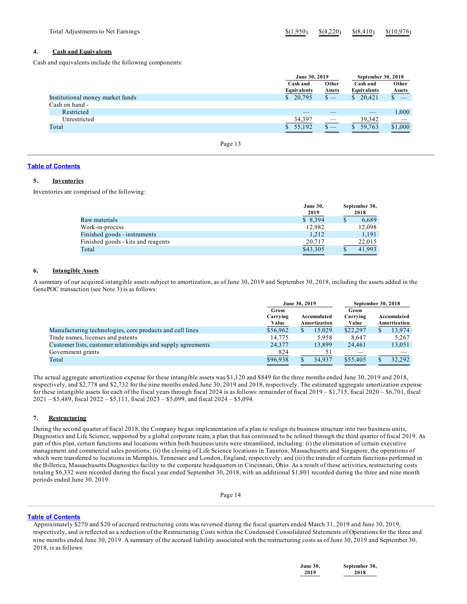# **4. Cash and Equivalents**

Cash and equivalents include the following components:

|                                  |                         | June 30, 2019   |                         | September 30, 2018              |
|----------------------------------|-------------------------|-----------------|-------------------------|---------------------------------|
|                                  | Cash and<br>Equivalents | Other<br>Assets | Cash and<br>Equivalents | Other<br><b>Assets</b>          |
| Institutional money market funds | \$20,795                | $\mathbf{s}$ —  | 20,421<br><sup>S</sup>  | $\overline{\phantom{a}}$        |
| Cash on hand -                   |                         |                 |                         |                                 |
| Restricted                       |                         |                 |                         | 1,000                           |
| Unrestricted                     | 34,397                  | $\equiv$        | 39,342                  | $\hspace{0.1mm}-\hspace{0.1mm}$ |
| Total                            | 55,192                  | $s -$           | 59,763                  | \$1,000                         |
|                                  |                         |                 |                         |                                 |

Page 13

#### **Table of Contents**

# **5. Inventories**

Inventories are comprised of the following:

|                                    | <b>June 30,</b><br>2019 | September 30,<br>2018 |
|------------------------------------|-------------------------|-----------------------|
| Raw materials                      | \$8,394                 | 6,689                 |
| Work-in-process                    | 12.982                  | 12,098                |
| Finished goods - instruments       | 1.212                   | 1.191                 |
| Finished goods - kits and reagents | 20,717                  | 22,015                |
| Total                              | \$43,305                | 41.993                |

#### **6. Intangible Assets**

A summary of our acquired intangible assets subject to amortization, as of June 30, 2019 and September 30, 2018, including the assets added in the GenePOC transaction (see Note 3) is as follows:

|                                                              |                            | June 30, 2019               | September 30, 2018         |                             |  |
|--------------------------------------------------------------|----------------------------|-----------------------------|----------------------------|-----------------------------|--|
|                                                              | Gross<br>Carrying<br>Value | Accumulated<br>Amortization | Gross<br>Carrying<br>Value | Accumulated<br>Amortization |  |
| Manufacturing technologies, core products and cell lines     | \$56,962                   | 15.029<br>ъ                 | \$22,297                   | 13.974<br>S                 |  |
| Trade names, licenses and patents                            | 14.775                     | 5.958                       | 8.647                      | 5.267                       |  |
| Customer lists, customer relationships and supply agreements | 24,377                     | 13.899                      | 24.461                     | 13,051                      |  |
| Government grants                                            | 824                        | 51                          |                            |                             |  |
| Total                                                        | \$96,938                   | 34,937                      | \$55,405                   | 32.292                      |  |

The actual aggregate amortization expense for these intangible assets was \$1,120 and \$849 for the three months ended June 30, 2019 and 2018, respectively, and \$2,778 and \$2,732 for the nine months ended June 30, 2019 and 2018, respectively. The estimated aggregate amortization expense for these intangible assets for each of the fiscal years through fiscal 2024 is as follows: remainder of fiscal 2019 – \$1,715, fiscal 2020 – \$6,701, fiscal 2021 – \$5,489, fiscal 2022 – \$5,111, fiscal 2023 – \$5,099, and fiscal 2024 – \$5,094.

#### **7. Restructuring**

During the second quarter of fiscal 2018, the Company began implementation of a plan to realign its business structure into two business units, Diagnostics and Life Science, supported by a global corporate team, a plan that has continued to be refined through the third quarter of fiscal 2019. As part of this plan, certain functions and locations within both business units were streamlined, including: (i) the elimination of certain executive management and commercial sales positions; (ii) the closing of Life Science locations in Taunton, Massachusetts and Singapore, the operations of which were transferred to locations in Memphis, Tennessee and London, England, respectively; and (iii) the transfer of certain functions performed in the Billerica, Massachusetts Diagnostics facility to the corporate headquarters in Cincinnati, Ohio. As a result of these activities, restructuring costs totaling \$6,332 were recorded during the fiscal year ended September 30, 2018, with an additional \$1,801 recorded during the three and nine month periods ended June 30, 2019.

Page 14

#### **Table of Contents**

Approximately \$270 and \$20 of accrued restructuring costs was reversed during the fiscal quarters ended March 31, 2019 and June 30, 2019, respectively, and is reflected as a reduction of the Restructuring Costs within the Condensed Consolidated Statements of Operations for the three and nine months ended June 30, 2019. A summary of the accrued liability associated with the restructuring costs as of June 30, 2019 and September 30, 2018, is as follows:

| <b>June 30,</b> | September 30, |
|-----------------|---------------|
| 2019            | 2018          |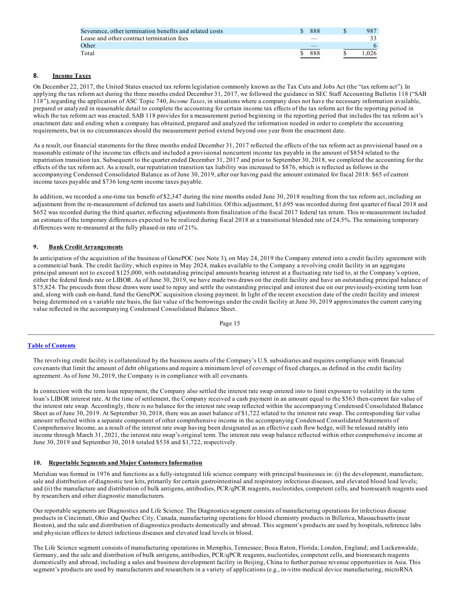| Severance, other termination benefits and related costs | 888 | 987 |
|---------------------------------------------------------|-----|-----|
| Lease and other contract termination fees               |     |     |
| Other                                                   |     |     |
| Total                                                   | 888 |     |

# **8. Income Taxes**

On December 22, 2017, the United States enacted tax reform legislation commonly known as the Tax Cuts and Jobs Act (the "tax reform act"). In applying the tax reform act during the three months ended December 31, 2017, we followed the guidance in SEC Staff Accounting Bulletin 118 ("SAB 118"), regarding the application of ASC Topic 740, *Income Taxes*, in situations where a company does not have the necessary information available, prepared or analyzed in reasonable detail to complete the accounting for certain income tax effects of the tax reform act for the reporting period in which the tax reform act was enacted. SAB 118 provides for a measurement period beginning in the reporting period that includes the tax reform act's enactment date and ending when a company has obtained, prepared and analyzed the information needed in order to complete the accounting requirements, but in no circumstances should the measurement period extend beyond one year from the enactment date.

As a result, our financial statements for the three months ended December 31, 2017 reflected the effects of the tax reform act as provisional based on a reasonable estimate of the income tax effects and included a provisional noncurrent income tax payable in the amount of \$854 related to the repatriation transition tax. Subsequent to the quarter ended December 31, 2017 and prior to September 30, 2018, we completed the accounting for the effects of the tax reform act. As a result, our repatriation transition tax liability was increased to \$876, which is reflected as follows in the accompanying Condensed Consolidated Balance as of June 30, 2019, after our having paid the amount estimated for fiscal 2018: \$65 of current income taxes payable and \$736 long-term income taxes payable.

In addition, we recorded a one-time tax benefit of \$2,347 during the nine months ended June 30, 2018 resulting from the tax reform act, including an adjustment from the re-measurement of deferred tax assets and liabilities. Of this adjustment, \$1,695 was recorded during first quarter of fiscal 2018 and \$652 was recorded during the third quarter, reflecting adjustments from finalization of the fiscal 2017 federal tax return. This re-measurement included an estimate of the temporary differences expected to be realized during fiscal 2018 at a transitional blended rate of 24.5%. The remaining temporary differences were re-measured at the fully phased-in rate of 21%.

# **9. Bank Credit Arrangements**

In anticipation of the acquisition of the business of GenePOC (see Note 3), on May 24, 2019 the Company entered into a credit facility agreement with a commercial bank. The credit facility, which expires in May 2024, makes available to the Company a revolving credit facility in an aggregate principal amount not to exceed \$125,000, with outstanding principal amounts bearing interest at a fluctuating rate tied to, at the Company's option, either the federal funds rate or LIBOR. As of June 30, 2019, we have made two draws on the credit facility and have an outstanding principal balance of \$75,824. The proceeds from these draws were used to repay and settle the outstanding principal and interest due on our previously-existing term loan and, along with cash on-hand, fund the GenePOC acquisition closing payment. In light of the recent execution date of the credit facility and interest being determined on a variable rate basis, the fair value of the borrowings under the credit facility at June 30, 2019 approximates the current carrying value reflected in the accompanying Condensed Consolidated Balance Sheet.

Page 15

#### **Table of Contents**

The revolving credit facility is collateralized by the business assets of the Company's U.S. subsidiaries and requires compliance with financial covenants that limit the amount of debt obligations and require a minimum level of coverage of fixed charges, as defined in the credit facility agreement. As of June 30, 2019, the Company is in compliance with all covenants.

In connection with the term loan repayment, the Company also settled the interest rate swap entered into to limit exposure to volatility in the term loan's LIBOR interest rate. At the time of settlement, the Company received a cash payment in an amount equal to the \$563 then-current fair value of the interest rate swap. Accordingly, there is no balance for the interest rate swap reflected within the accompanying Condensed Consolidated Balance Sheet as of June 30, 2019. At September 30, 2018, there was an asset balance of \$1,722 related to the interest rate swap. The corresponding fair value amount reflected within a separate component of other comprehensive income in the accompanying Condensed Consolidated Statements of Comprehensive Income, as a result of the interest rate swap having been designated as an effective cash flow hedge, will be released ratably into income through March 31, 2021, the interest rate swap's original term. The interest rate swap balance reflected within other comprehensive income at June 30, 2019 and September 30, 2018 totaled \$538 and \$1,722, respectively.

#### **10. Reportable Segments and Major Customers Information**

Meridian was formed in 1976 and functions as a fully-integrated life science company with principal businesses in: (i) the development, manufacture, sale and distribution of diagnostic test kits, primarily for certain gastrointestinal and respiratory infectious diseases, and elevated blood lead levels; and (ii) the manufacture and distribution of bulk antigens, antibodies, PCR/qPCR reagents, nucleotides, competent cells, and bioresearch reagents used by researchers and other diagnostic manufacturers.

Our reportable segments are Diagnostics and Life Science. The Diagnostics segment consists of manufacturing operations for infectious disease products in Cincinnati, Ohio and Quebec City, Canada, manufacturing operations for blood chemistry products in Billerica, Massachusetts (near Boston), and the sale and distribution of diagnostics products domestically and abroad. This segment's products are used by hospitals, reference labs and physician offices to detect infectious diseases and elevated lead levels in blood.

The Life Science segment consists of manufacturing operations in Memphis, Tennessee; Boca Raton, Florida; London, England; and Luckenwalde, Germany, and the sale and distribution of bulk antigens, antibodies, PCR/qPCR reagents, nucleotides, competent cells, and bioresearch reagents domestically and abroad, including a sales and business development facility in Beijing, China to further pursue revenue opportunities in Asia. This segment's products are used by manufacturers and researchers in a variety of applications (e.g., in-vitro medical device manufacturing, microRNA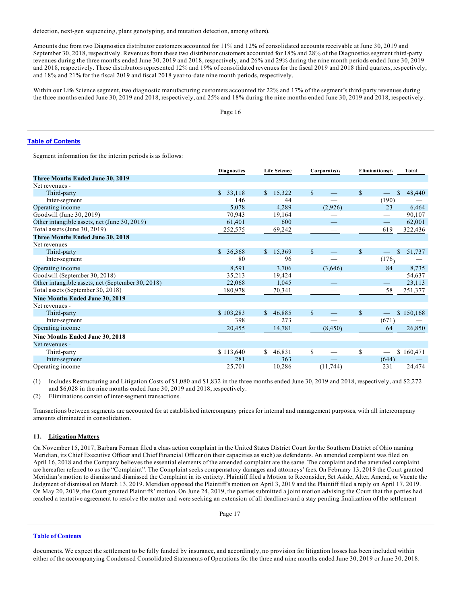detection, next-gen sequencing, plant genotyping, and mutation detection, among others).

Amounts due from two Diagnostics distributor customers accounted for 11% and 12% of consolidated accounts receivable at June 30, 2019 and September 30, 2018, respectively. Revenues from these two distributor customers accounted for 18% and 28% of the Diagnostics segment third-party revenues during the three months ended June 30, 2019 and 2018, respectively, and 26% and 29% during the nine month periods ended June 30, 2019 and 2018, respectively. These distributors represented 12% and 19% of consolidated revenues for the fiscal 2019 and 2018 third quarters, respectively, and 18% and 21% for the fiscal 2019 and fiscal 2018 year-to-date nine month periods, respectively.

Within our Life Science segment, two diagnostic manufacturing customers accounted for 22% and 17% of the segment's third-party revenues during the three months ended June 30, 2019 and 2018, respectively, and 25% and 18% during the nine months ended June 30, 2019 and 2018, respectively.

Page 16

#### **Table of Contents**

Segment information for the interim periods is as follows:

|                                                   | <b>Diagnostics</b>     | <b>Life Science</b>    | Corporate(1) |              | Eliminations(2)<br>Total |
|---------------------------------------------------|------------------------|------------------------|--------------|--------------|--------------------------|
| Three Months Ended June 30, 2019                  |                        |                        |              |              |                          |
| Net revenues -                                    |                        |                        |              |              |                          |
| Third-party                                       | 33,118<br>$\mathbb{S}$ | 15,322<br>$\mathbb{S}$ | $\mathbb{S}$ | $\mathbb{S}$ | \$<br>48,440             |
| Inter-segment                                     | 146                    | 44                     |              |              | (190)                    |
| Operating income                                  | 5,078                  | 4,289                  | (2,926)      |              | 23<br>6,464              |
| Goodwill (June 30, 2019)                          | 70,943                 | 19,164                 |              |              | 90,107                   |
| Other intangible assets, net (June 30, 2019)      | 61,401                 | 600                    |              |              | 62,001                   |
| Total assets (June 30, 2019)                      | 252,575                | 69,242                 |              |              | 619<br>322,436           |
| Three Months Ended June 30, 2018                  |                        |                        |              |              |                          |
| Net revenues -                                    |                        |                        |              |              |                          |
| Third-party                                       | 36,368<br>\$           | $\mathbb{S}$<br>15,369 | $\mathbb{S}$ | $\mathbb{S}$ | \$<br>51,737             |
| Inter-segment                                     | 80                     | 96                     |              |              | (176)                    |
| Operating income                                  | 8,591                  | 3,706                  | (3,646)      |              | 84<br>8,735              |
| Goodwill (September 30, 2018)                     | 35,213                 | 19,424                 |              |              | 54,637                   |
| Other intangible assets, net (September 30, 2018) | 22,068                 | 1,045                  |              |              | 23,113                   |
| Total assets (September 30, 2018)                 | 180,978                | 70,341                 |              |              | 58<br>251,377            |
| Nine Months Ended June 30, 2019                   |                        |                        |              |              |                          |
| Net revenues -                                    |                        |                        |              |              |                          |
| Third-party                                       | \$103,283              | 46,885<br>$\mathbb{S}$ | $\mathbb{S}$ | $\mathbb{S}$ | \$150,168                |
| Inter-segment                                     | 398                    | 273                    |              |              | (671)                    |
| Operating income                                  | 20,455                 | 14,781                 | (8, 450)     |              | 64<br>26,850             |
| Nine Months Ended June 30, 2018                   |                        |                        |              |              |                          |
| Net revenues -                                    |                        |                        |              |              |                          |
| Third-party                                       | \$113,640              | 46,831<br>\$.          | \$           | \$           | \$160,471                |
| Inter-segment                                     | 281                    | 363                    |              |              | (644)                    |
| Operating income                                  | 25,701                 | 10,286                 | (11, 744)    |              | 231<br>24,474            |

(1) Includes Restructuring and Litigation Costs of \$1,080 and \$1,832 in the three months ended June 30, 2019 and 2018, respectively, and \$2,272 and \$6,028 in the nine months ended June 30, 2019 and 2018, respectively.

(2) Eliminations consist of inter-segment transactions.

Transactions between segments are accounted for at established intercompany prices for internal and management purposes, with all intercompany amounts eliminated in consolidation.

#### **11. Litigation Matters**

On November 15, 2017, Barbara Forman filed a class action complaint in the United States District Court for the Southern District of Ohio naming Meridian, its Chief Executive Officer and Chief Financial Officer (in their capacities as such) as defendants. An amended complaint was filed on April 16, 2018 and the Company believes the essential elements of the amended complaint are the same. The complaint and the amended complaint are hereafter referred to as the "Complaint". The Complaint seeks compensatory damages and attorneys' fees. On February 13, 2019 the Court granted Meridian's motion to dismiss and dismissed the Complaint in its entirety. Plaintiff filed a Motion to Reconsider, Set Aside, Alter, Amend, or Vacate the Judgment of dismissal on March 13, 2019. Meridian opposed the Plaintiff's motion on April 3, 2019 and the Plaintiff filed a reply on April 17, 2019. On May 20, 2019, the Court granted Plaintiffs' motion. On June 24, 2019, the parties submitted a joint motion advising the Court that the parties had reached a tentative agreement to resolve the matter and were seeking an extension of all deadlines and a stay pending finalization of the settlement

#### **Table of Contents**

documents. We expect the settlement to be fully funded by insurance, and accordingly, no provision for litigation losses has been included within either of the accompanying Condensed Consolidated Statements of Operations for the three and nine months ended June 30, 2019 or June 30, 2018.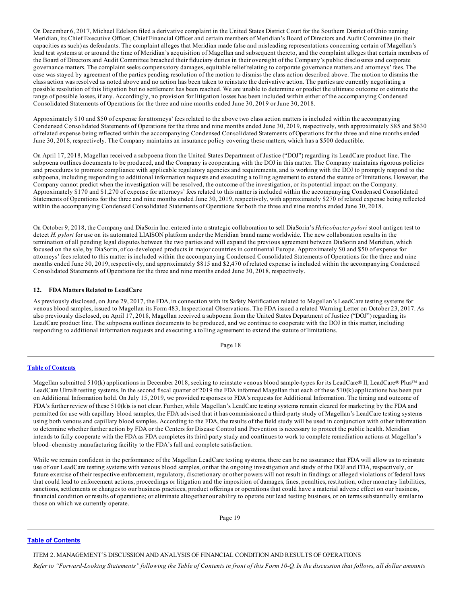On December 6, 2017, Michael Edelson filed a derivative complaint in the United States District Court for the Southern District of Ohio naming Meridian, its Chief Executive Officer, Chief Financial Officer and certain members of Meridian's Board of Directors and Audit Committee (in their capacities as such) as defendants. The complaint alleges that Meridian made false and misleading representations concerning certain of Magellan's lead test systems at or around the time of Meridian's acquisition of Magellan and subsequent thereto, and the complaint alleges that certain members of the Board of Directors and Audit Committee breached their fiduciary duties in their oversight of the Company's public disclosures and corporate governance matters. The complaint seeks compensatory damages, equitable relief relating to corporate governance matters and attorneys' fees. The case was stayed by agreement of the parties pending resolution of the motion to dismiss the class action described above. The motion to dismiss the class action was resolved as noted above and no action has been taken to reinstate the derivative action. The parties are currently negotiating a possible resolution of this litigation but no settlement has been reached. We are unable to determine or predict the ultimate outcome or estimate the range of possible losses, if any. Accordingly, no provision for litigation losses has been included within either of the accompanying Condensed Consolidated Statements of Operations for the three and nine months ended June 30, 2019 or June 30, 2018.

Approximately \$10 and \$50 of expense for attorneys' fees related to the above two class action matters is included within the accompanying Condensed Consolidated Statements of Operations for the three and nine months ended June 30, 2019, respectively, with approximately \$85 and \$630 of related expense being reflected within the accompanying Condensed Consolidated Statements of Operations for the three and nine months ended June 30, 2018, respectively. The Company maintains an insurance policy covering these matters, which has a \$500 deductible.

On April 17, 2018, Magellan received a subpoena from the United States Department of Justice ("DOJ") regarding its LeadCare product line. The subpoena outlines documents to be produced, and the Company is cooperating with the DOJ in this matter. The Company maintains rigorous policies and procedures to promote compliance with applicable regulatory agencies and requirements, and is working with the DOJ to promptly respond to the subpoena, including responding to additional information requests and executing a tolling agreement to extend the statute of limitations. However, the Company cannot predict when the investigation will be resolved, the outcome of the investigation, or its potential impact on the Company. Approximately \$170 and \$1,270 of expense for attorneys' fees related to this matter is included within the accompanying Condensed Consolidated Statements of Operations for the three and nine months ended June 30, 2019, respectively, with approximately \$270 of related expense being reflected within the accompanying Condensed Consolidated Statements of Operations for both the three and nine months ended June 30, 2018.

On October 9, 2018, the Company and DiaSorin Inc. entered into a strategic collaboration to sell DiaSorin's *Helicobacter pylori* stool antigen test to detect *H. pylori* for use on its automated LIAISON platform under the Meridian brand name worldwide. The new collaboration results in the termination of all pending legal disputes between the two parties and will expand the previous agreement between DiaSorin and Meridian, which focused on the sale, by DiaSorin, of co-developed products in major countries in continental Europe. Approximately \$0 and \$50 of expense for attorneys' fees related to this matter is included within the accompanying Condensed Consolidated Statements of Operations for the three and nine months ended June 30, 2019, respectively, and approximately \$815 and \$2,470 of related expense is included within the accompanying Condensed Consolidated Statements of Operations for the three and nine months ended June 30, 2018, respectively.

#### **12. FDA Matters Related to LeadCare**

As previously disclosed, on June 29, 2017, the FDA, in connection with its Safety Notification related to Magellan's LeadCare testing systems for venous blood samples, issued to Magellan its Form 483, Inspectional Observations. The FDA issued a related Warning Letter on October 23, 2017. As also previously disclosed, on April 17, 2018, Magellan received a subpoena from the United States Department of Justice ("DOJ") regarding its LeadCare product line. The subpoena outlines documents to be produced, and we continue to cooperate with the DOJ in this matter, including responding to additional information requests and executing a tolling agreement to extend the statute of limitations.

Page 18

# **Table of Contents**

Magellan submitted 510(k) applications in December 2018, seeking to reinstate venous blood sample-types for its LeadCare® II, LeadCare® Plus™ and LeadCare Ultra® testing systems. In the second fiscal quarter of 2019 the FDA informed Magellan that each of these 510(k) applications has been put on Additional Information hold. On July 15, 2019, we provided responses to FDA's requests for Additional Information. The timing and outcome of FDA's further review of these 510(k)s is not clear. Further, while Magellan's LeadCare testing systems remain cleared for marketing by the FDA and permitted for use with capillary blood samples, the FDA advised that it has commissioned a third-party study of Magellan's LeadCare testing systems using both venous and capillary blood samples. According to the FDA, the results of the field study will be used in conjunction with other information to determine whether further action by FDA or the Centers for Disease Control and Prevention is necessary to protect the public health. Meridian intends to fully cooperate with the FDA as FDA completes its third-party study and continues to work to complete remediation actions at Magellan's blood–chemistry manufacturing facility to the FDA's full and complete satisfaction.

While we remain confident in the performance of the Magellan LeadCare testing systems, there can be no assurance that FDA will allow us to reinstate use of our LeadCare testing systems with venous blood samples, or that the ongoing investigation and study of the DOJ and FDA, respectively, or future exercise of their respective enforcement, regulatory, discretionary or other powers will not result in findings or alleged violations of federal laws that could lead to enforcement actions, proceedings or litigation and the imposition of damages, fines, penalties, restitution, other monetary liabilities, sanctions, settlements or changes to our business practices, product offerings or operations that could have a material adverse effect on our business, financial condition or results of operations; or eliminate altogether our ability to operate our lead testing business, or on terms substantially similar to those on which we currently operate.

Page 19

#### **Table of Contents**

ITEM 2. MANAGEMENT'S DISCUSSION AND ANALYSIS OF FINANCIAL CONDITION AND RESULTS OF OPERATIONS

Refer to "Forward-Looking Statements" following the Table of Contents in front of this Form 10-Q. In the discussion that follows, all dollar amounts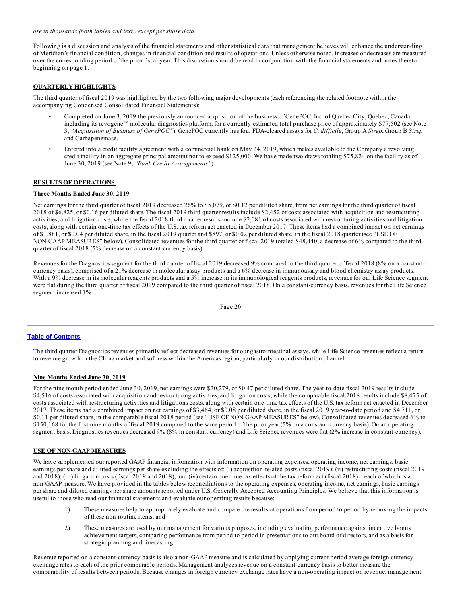#### *are in thousands (both tables and text), except per share data.*

Following is a discussion and analysis of the financial statements and other statistical data that management believes will enhance the understanding of Meridian's financial condition, changes in financial condition and results of operations. Unless otherwise noted, increases or decreases are measured over the corresponding period of the prior fiscal year. This discussion should be read in conjunction with the financial statements and notes thereto beginning on page 1.

#### **QUARTERLY HIGHLIGHTS**

The third quarter of fiscal 2019 was highlighted by the two following major developments (each referencing the related footnote within the accompanying Condensed Consolidated Financial Statements):

- Completed on June 3, 2019 the previously announced acquisition of the business of GenePOC, Inc. of Quebec City, Quebec, Canada, including its revogene™ molecular diagnostics platform, for a currently-estimated total purchase price of approximately \$77,502 (see Note 3, *"Acquisition of Business of GenePOC"*). GenePOC currently has four FDA-cleared assays for *C. dif icile*, Group A *Strep*, Group B *Strep* and Carbapenemase.
- Entered into a credit facility agreement with a commercial bank on May 24, 2019, which makes available to the Company a revolving credit facility in an aggregate principal amount not to exceed \$125,000. We have made two draws totaling \$75,824 on the facility as of June 30, 2019 (see Note 9, *"Bank Credit Arrangements"*).

#### **RESULTS OF OPERATIONS**

#### **Three Months Ended June 30, 2019**

Net earnings for the third quarter of fiscal 2019 decreased 26% to \$5,079, or \$0.12 per diluted share, from net earnings for the third quarter of fiscal 2018 of \$6,825, or \$0.16 per diluted share. The fiscal 2019 third quarter results include \$2,452 of costs associated with acquisition and restructuring activities, and litigation costs, while the fiscal 2018 third quarter results include \$2,081 of costs associated with restructuring activities and litigation costs, along with certain one-time tax effects of the U.S. tax reform act enacted in December 2017. These items had a combined impact on net earnings of \$1,881, or \$0.04 per diluted share, in the fiscal 2019 quarter and \$897, or \$0.02 per diluted share, in the fiscal 2018 quarter (see "USE OF NON-GAAP MEASURES" below). Consolidated revenues for the third quarter of fiscal 2019 totaled \$48,440, a decrease of 6% compared to the third quarter of fiscal 2018 (5% decrease on a constant-currency basis).

Revenues for the Diagnostics segment for the third quarter of fiscal 2019 decreased 9% compared to the third quarter of fiscal 2018 (8% on a constantcurrency basis), comprised of a 21% decrease in molecular assay products and a 6% decrease in immunoassay and blood chemistry assay products. With a 9% decrease in its molecular reagents products and a 5% increase in its immunological reagents products, revenues for our Life Science segment were flat during the third quarter of fiscal 2019 compared to the third quarter of fiscal 2018. On a constant-currency basis, revenues for the Life Science segment increased 1%.

Page 20

#### **Table of Contents**

The third quarter Diagnostics revenues primarily reflect decreased revenues for our gastrointestinal assays, while Life Science revenues reflect a return to revenue growth in the China market and softness within the Americas region, particularly in our distribution channel.

# **Nine Months Ended June 30, 2019**

For the nine month period ended June 30, 2019, net earnings were \$20,279, or \$0.47 per diluted share. The year-to-date fiscal 2019 results include \$4,516 of costs associated with acquisition and restructuring activities, and litigation costs, while the comparable fiscal 2018 results include \$8,475 of costs associated with restructuring activities and litigations costs, along with certain one-time tax effects of the U.S. tax reform act enacted in December 2017. These items had a combined impact on net earnings of \$3,464, or \$0.08 per diluted share, in the fiscal 2019 year-to-date period and \$4,711, or \$0.11 per diluted share, in the comparable fiscal 2018 period (see "USE OF NON-GAAP MEASURES" below). Consolidated revenues decreased 6% to \$150,168 for the first nine months of fiscal 2019 compared to the same period of the prior year (5% on a constant-currency basis). On an operating segment basis, Diagnostics revenues decreased 9% (8% in constant-currency) and Life Science revenues were flat (2% increase in constant-currency).

#### **USE OF NON-GAAP MEASURES**

We have supplemented our reported GAAP financial information with information on operating expenses, operating income, net earnings, basic earnings per share and diluted earnings per share excluding the effects of: (i) acquisition-related costs (fiscal 2019); (ii) restructuring costs (fiscal 2019) and 2018); (iii) litigation costs (fiscal 2019 and 2018); and (iv) certain one-time tax effects of the tax reform act (fiscal 2018) – each of which is a non-GAAP measure. We have provided in the tables below reconciliations to the operating expenses, operating income, net earnings, basic earnings per share and diluted earnings per share amounts reported under U.S. Generally Accepted Accounting Principles. We believe that this information is useful to those who read our financial statements and evaluate our operating results because:

- 1) These measures help to appropriately evaluate and compare the results of operations from period to period by removing the impacts of these non-routine items; and
- 2) These measures are used by our management for various purposes, including evaluating performance against incentive bonus achievement targets, comparing performance from period to period in presentations to our board of directors, and as a basis for strategic planning and forecasting.

Revenue reported on a constant-currency basis is also a non-GAAP measure and is calculated by applying current period average foreign currency exchange rates to each of the prior comparable periods. Management analyzes revenue on a constant-currency basis to better measure the comparability of results between periods. Because changes in foreign currency exchange rates have a non-operating impact on revenue, management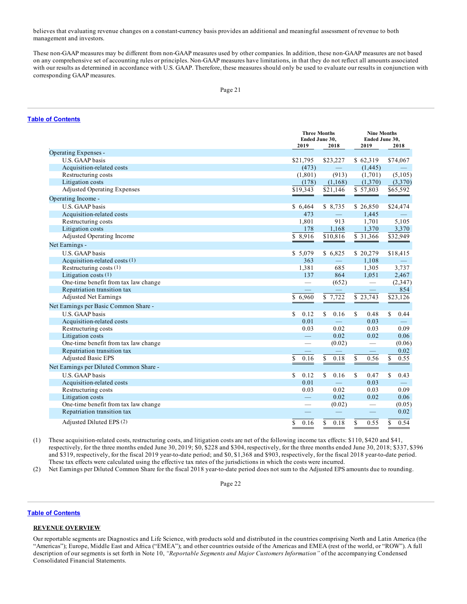believes that evaluating revenue changes on a constant-currency basis provides an additional and meaningful assessment of revenue to both management and investors.

These non-GAAP measures may be different from non-GAAP measures used by other companies. In addition, these non-GAAP measures are not based on any comprehensive set of accounting rules or principles. Non-GAAP measures have limitations, in that they do not reflect all amounts associated with our results as determined in accordance with U.S. GAAP. Therefore, these measures should only be used to evaluate our results in conjunction with corresponding GAAP measures.

# **Table of Contents**

|                                         | Ended June 30.<br>2019   | <b>Three Months</b><br>2018 | <b>Nine Months</b><br>Ended June 30.<br>2019 | 2018                     |
|-----------------------------------------|--------------------------|-----------------------------|----------------------------------------------|--------------------------|
| Operating Expenses -                    |                          |                             |                                              |                          |
| U.S. GAAP basis                         | \$21,795                 | \$23,227                    | \$62,319                                     | \$74,067                 |
| Acquisition-related costs               | (473)                    | $\qquad \qquad -$           | (1, 445)                                     |                          |
| Restructuring costs                     | (1,801)                  | (913)                       | (1,701)                                      | (5,105)                  |
| Litigation costs                        | (178)                    | (1,168)                     | (1,370)                                      | (3,370)                  |
| <b>Adjusted Operating Expenses</b>      | \$19,343                 | \$21,146                    | \$57,803                                     | \$65,592                 |
| Operating Income -                      |                          |                             |                                              |                          |
| U.S. GAAP basis                         | \$6,464                  | \$8,735                     | \$26,850                                     | \$24,474                 |
| Acquisition-related costs               | 473                      | $\frac{1}{2}$               | 1,445                                        | $\qquad \qquad -$        |
| Restructuring costs                     | 1,801                    | 913                         | 1,701                                        | 5,105                    |
| Litigation costs                        | 178                      | 1,168                       | 1,370                                        | 3,370                    |
| <b>Adjusted Operating Income</b>        | \$8,916                  | \$10,816                    | \$31,366                                     | \$32,949                 |
| Net Earnings -                          |                          |                             |                                              |                          |
| U.S. GAAP basis                         | \$5,079                  | \$6,825                     | \$20,279                                     | \$18,415                 |
| Acquisition-related costs $(1)$         | 363                      | $\frac{1}{2}$               | 1,108                                        |                          |
| Restructuring costs (1)                 | 1,381                    | 685                         | 1,305                                        | 3,737                    |
| Litigation costs $(1)$                  | 137                      | 864                         | 1,051                                        | 2,467                    |
| One-time benefit from tax law change    | $\frac{1}{1}$            | (652)                       | $\overline{\phantom{0}}$                     | (2,347)                  |
| Repatriation transition tax             |                          | $\overline{\phantom{m}}$    | $\overline{\phantom{0}}$                     | 854                      |
| <b>Adjusted Net Earnings</b>            | \$6,960                  | $\sqrt{7,722}$              | \$23,743                                     | \$23,126                 |
| Net Earnings per Basic Common Share -   |                          |                             |                                              |                          |
| <b>U.S. GAAP</b> basis                  | 0.12<br>\$               | \$<br>0.16                  | \$<br>0.48                                   | \$<br>0.44               |
| Acquisition-related costs               | 0.01                     |                             | 0.03                                         | $\overline{\phantom{0}}$ |
| Restructuring costs                     | 0.03                     | 0.02                        | 0.03                                         | 0.09                     |
| Litigation costs                        | $\equiv$                 | 0.02                        | 0.02                                         | 0.06                     |
| One-time benefit from tax law change    | $\overline{\phantom{0}}$ | (0.02)                      | $\overline{\phantom{0}}$                     | (0.06)                   |
| Repatriation transition tax             | $\qquad \qquad -$        | $\overline{\phantom{m}}$    | $\qquad \qquad \longleftarrow$               | 0.02                     |
| <b>Adjusted Basic EPS</b>               | \$<br>0.16               | \$<br>0.18                  | \$<br>0.56                                   | \$<br>0.55               |
| Net Earnings per Diluted Common Share - |                          |                             |                                              |                          |
| <b>U.S. GAAP</b> basis                  | 0.12<br>\$               | \$<br>0.16                  | \$<br>0.47                                   | $\mathbf{s}$<br>0.43     |
| Acquisition-related costs               | 0.01                     | $\overline{\phantom{m}}$    | 0.03                                         | $\overline{\phantom{0}}$ |
| Restructuring costs                     | 0.03                     | 0.02                        | 0.03                                         | 0.09                     |
| Litigation costs                        | $\overline{\phantom{0}}$ | 0.02                        | 0.02                                         | 0.06                     |
| One-time benefit from tax law change    | $\overline{\phantom{0}}$ | (0.02)                      | $\qquad \qquad$                              | (0.05)                   |
| Repatriation transition tax             |                          | $\qquad \qquad -$           | $\frac{1}{2}$                                | 0.02                     |
| Adjusted Diluted EPS (2)                | \$<br>0.16               | \$<br>0.18                  | \$<br>0.55                                   | \$<br>0.54               |

(1) These acquisition-related costs, restructuring costs, and litigation costs are net of the following income tax effects: \$110, \$420 and \$41, respectively, for the three months ended June 30, 2019; \$0, \$228 and \$304, respectively, for the three months ended June 30, 2018; \$337, \$396 and \$319, respectively, for the fiscal 2019 year-to-date period; and \$0, \$1,368 and \$903, respectively, for the fiscal 2018 year-to-date period. These tax effects were calculated using the effective tax rates of the jurisdictions in which the costs were incurred.

(2) Net Earnings per Diluted Common Share for the fiscal 2018 year-to-date period does not sum to the Adjusted EPS amounts due to rounding.

Page 22

#### **Table of Contents**

# **REVENUE OVERVIEW**

Our reportable segments are Diagnostics and Life Science, with products sold and distributed in the countries comprising North and Latin America (the "Americas"); Europe, Middle East and Africa ("EMEA"); and other countries outside of the Americas and EMEA (rest of the world, or "ROW"). A full description of our segments is set forth in Note 10, *"Reportable Segments and Major Customers Information"* of the accompanying Condensed Consolidated Financial Statements.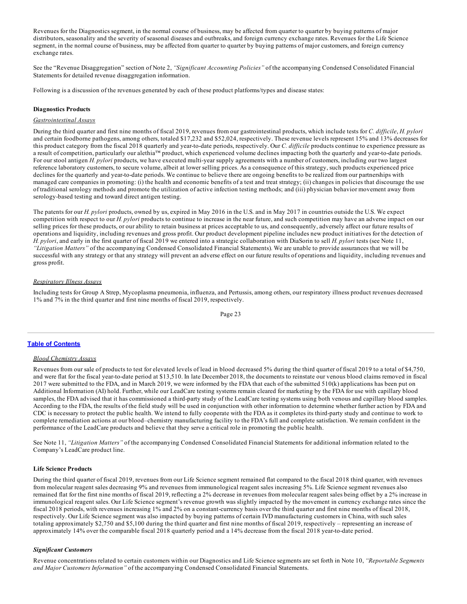Revenues for the Diagnostics segment, in the normal course of business, may be affected from quarter to quarter by buying patterns of major distributors, seasonality and the severity of seasonal diseases and outbreaks, and foreign currency exchange rates. Revenues for the Life Science segment, in the normal course of business, may be affected from quarter to quarter by buying patterns of major customers, and foreign currency exchange rates.

See the "Revenue Disaggregation" section of Note 2, *"Significant Accounting Policies"* of the accompanying Condensed Consolidated Financial Statements for detailed revenue disaggregation information.

Following is a discussion of the revenues generated by each of these product platforms/types and disease states:

#### **Diagnostics Products**

## *Gastrointestinal Assays*

During the third quarter and first nine months of fiscal 2019, revenues from our gastrointestinal products, which include tests for *C. dif icile*, *H. pylori* and certain foodborne pathogens, among others, totaled \$17,232 and \$52,024, respectively. These revenue levels represent 15% and 13% decreases for this product category from the fiscal 2018 quarterly and year-to-date periods, respectively. Our *C. dif icile* products continue to experience pressure as a result of competition, particularly our alethia™ product, which experienced volume declines impacting both the quarterly and year-to-date periods. For our stool antigen *H. pylori* products, we have executed multi-year supply agreements with a number of customers, including our two largest reference laboratory customers, to secure volume, albeit at lower selling prices. As a consequence of this strategy, such products experienced price declines for the quarterly and year-to-date periods. We continue to believe there are ongoing benefits to be realized from our partnerships with managed care companies in promoting: (i) the health and economic benefits of a test and treat strategy; (ii) changes in policies that discourage the use of traditional serology methods and promote the utilization of active infection testing methods; and (iii) physician behavior movement away from serology-based testing and toward direct antigen testing.

The patents for our *H. pylori* products, owned by us, expired in May 2016 in the U.S. and in May 2017 in countries outside the U.S. We expect competition with respect to our *H. pylori* products to continue to increase in the near future, and such competition may have an adverse impact on our selling prices for these products, or our ability to retain business at prices acceptable to us, and consequently, adversely affect our future results of operations and liquidity, including revenues and gross profit. Our product development pipeline includes new product initiatives for the detection of *H. pylori*, and early in the first quarter of fiscal 2019 we entered into a strategic collaboration with DiaSorin to sell *H. pylori* tests (see Note 11, *"Litigation Matters"* of the accompanying Condensed Consolidated Financial Statements). We are unable to provide assurances that we will be successful with any strategy or that any strategy will prevent an adverse effect on our future results of operations and liquidity, including revenues and gross profit.

#### *Respiratory Illness Assays*

Including tests for Group A Strep, Mycoplasma pneumonia, influenza, and Pertussis, among others, our respiratory illness product revenues decreased 1% and 7% in the third quarter and first nine months of fiscal 2019, respectively.

Page 23

#### **Table of Contents**

#### *Blood Chemistry Assays*

Revenues from our sale of products to test for elevated levels of lead in blood decreased 5% during the third quarter of fiscal 2019 to a total of \$4,750, and were flat for the fiscal year-to-date period at \$13,510. In late December 2018, the documents to reinstate our venous blood claims removed in fiscal 2017 were submitted to the FDA, and in March 2019, we were informed by the FDA that each of the submitted 510(k) applications has been put on Additional Information (AI) hold. Further, while our LeadCare testing systems remain cleared for marketing by the FDA for use with capillary blood samples, the FDA advised that it has commissioned a third-party study of the LeadCare testing systems using both venous and capillary blood samples. According to the FDA, the results of the field study will be used in conjunction with other information to determine whether further action by FDA and CDC is necessary to protect the public health. We intend to fully cooperate with the FDA as it completes its third-party study and continue to work to complete remediation actions at our blood–chemistry manufacturing facility to the FDA's full and complete satisfaction. We remain confident in the performance of the LeadCare products and believe that they serve a critical role in promoting the public health.

See Note 11, *"Litigation Matters"* of the accompanying Condensed Consolidated Financial Statements for additional information related to the Company's LeadCare product line.

#### **Life Science Products**

During the third quarter of fiscal 2019, revenues from our Life Science segment remained flat compared to the fiscal 2018 third quarter, with revenues from molecular reagent sales decreasing 9% and revenues from immunological reagent sales increasing 5%. Life Science segment revenues also remained flat for the first nine months of fiscal 2019, reflecting a 2% decrease in revenues from molecular reagent sales being offset by a 2% increase in immunological reagent sales. Our Life Science segment's revenue growth was slightly impacted by the movement in currency exchange rates since the fiscal 2018 periods, with revenues increasing 1% and 2% on a constant-currency basis over the third quarter and first nine months of fiscal 2018, respectively. Our Life Science segment was also impacted by buying patterns of certain IVD manufacturing customers in China, with such sales totaling approximately \$2,750 and \$5,100 during the third quarter and first nine months of fiscal 2019, respectively – representing an increase of approximately 14% over the comparable fiscal 2018 quarterly period and a 14% decrease from the fiscal 2018 year-to-date period.

#### *Significant Customers*

Revenue concentrations related to certain customers within our Diagnostics and Life Science segments are set forth in Note 10, *"Reportable Segments and Major Customers Information"* of the accompanying Condensed Consolidated Financial Statements.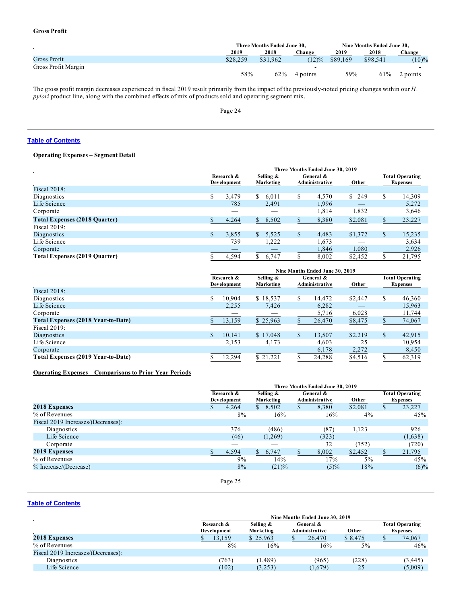# **Gross Profit**

|                            |          | Nine Months Ended June 30.<br>Three Months Ended June 30. |          |          |          |          |
|----------------------------|----------|-----------------------------------------------------------|----------|----------|----------|----------|
|                            | 2019     | 2018                                                      | Change   | 2019     | 2018     | Change   |
| Gross Profit               | \$28,259 | \$31.962                                                  | $(12)\%$ | \$89,169 | \$98,541 | $(10)\%$ |
| <b>Gross Profit Margin</b> |          |                                                           |          |          |          |          |
|                            | 58%      | 62%                                                       | 4 points | 59%      | 61%      | 2 points |

The gross profit margin decreases experienced in fiscal 2019 result primarily from the impact of the previously-noted pricing changes within our *H. pylori* product line, along with the combined effects of mix of products sold and operating segment mix.

# Page 24

# **Table of Contents**

# **Operating Expenses – Segment Detail**

|                                      | Three Months Ended June 30, 2019 |        |    |                        |    |                             |                     |              |                                           |  |
|--------------------------------------|----------------------------------|--------|----|------------------------|----|-----------------------------|---------------------|--------------|-------------------------------------------|--|
|                                      | Research &<br>Development        |        |    | Selling &<br>Marketing |    | General &<br>Administrative | Other               |              | <b>Total Operating</b><br><b>Expenses</b> |  |
| <b>Fiscal 2018:</b>                  |                                  |        |    |                        |    |                             |                     |              |                                           |  |
| Diagnostics                          | S                                | 3,479  | S. | 6,011                  | S  | 4,570                       | 249<br>$\mathbb{S}$ | \$           | 14,309                                    |  |
| Life Science                         |                                  | 785    |    | 2.491                  |    | 1,996                       | __                  |              | 5,272                                     |  |
| Corporate                            |                                  | $\sim$ |    | ___                    |    | 1,814                       | 1,832               |              | 3,646                                     |  |
| <b>Total Expenses (2018 Quarter)</b> |                                  | 4,264  |    | 8,502                  |    | 8,380                       | \$2,081             |              | 23,227                                    |  |
| <b>Fiscal 2019:</b>                  |                                  |        |    |                        |    |                             |                     |              |                                           |  |
| Diagnostics                          | \$                               | 3,855  | \$ | 5,525                  | \$ | 4,483                       | \$1,372             | $\mathbb{S}$ | 15,235                                    |  |
| Life Science                         |                                  | 739    |    | ,222                   |    | 1,673                       | __                  |              | 3,634                                     |  |
| Corporate                            |                                  | _      |    |                        |    | 1,846                       | 1,080               |              | 2,926                                     |  |
| <b>Total Expenses (2019 Quarter)</b> |                                  | 4.594  | S. | 6.747                  |    | 8.002                       | \$2.452             |              | 21,795                                    |  |

|                                           | Nine Months Ended June 30, 2019 |                           |                        |                             |        |         |                                           |        |  |  |
|-------------------------------------------|---------------------------------|---------------------------|------------------------|-----------------------------|--------|---------|-------------------------------------------|--------|--|--|
|                                           |                                 | Research &<br>Development | Selling &<br>Marketing | General &<br>Administrative |        | Other   | <b>Total Operating</b><br><b>Expenses</b> |        |  |  |
| <b>Fiscal 2018:</b>                       |                                 |                           |                        |                             |        |         |                                           |        |  |  |
| Diagnostics                               |                                 | 10.904                    | \$18,537               | S                           | 14,472 | \$2,447 | S                                         | 46,360 |  |  |
| Life Science                              |                                 | 2,255                     | 7,426                  |                             | 6,282  |         |                                           | 15,963 |  |  |
| Corporate                                 |                                 | ---                       |                        |                             | 5,716  | 6,028   |                                           | 11,744 |  |  |
| <b>Total Expenses (2018 Year-to-Date)</b> |                                 | 13,159                    | \$25,963               |                             | 26,470 | \$8,475 |                                           | 74,067 |  |  |
| Fiscal $2019$ :                           |                                 |                           |                        |                             |        |         |                                           |        |  |  |
| Diagnostics                               |                                 | 10,141                    | \$17,048               | S                           | 13.507 | \$2,219 | $\mathbb{S}$                              | 42,915 |  |  |
| Life Science                              |                                 | 2,153                     | 4,173                  |                             | 4,603  | 25      |                                           | 10.954 |  |  |
| Corporate                                 |                                 | __                        | __                     |                             | 6,178  | 2,272   |                                           | 8,450  |  |  |
| Total Expenses (2019 Year-to-Date)        |                                 | 12,294                    | \$21,221               |                             | 24,288 | \$4,516 |                                           | 62,319 |  |  |

# **Operating Expenses – Comparisons to Prior Year Periods**

|                                    | Three Months Ended June 30, 2019 |              |                             |         |         |                        |                 |  |  |  |
|------------------------------------|----------------------------------|--------------|-----------------------------|---------|---------|------------------------|-----------------|--|--|--|
|                                    | Research &                       | Selling &    | General &<br>Administrative |         |         | <b>Total Operating</b> |                 |  |  |  |
|                                    | Development                      | Marketing    |                             |         | Other   |                        | <b>Expenses</b> |  |  |  |
| 2018 Expenses                      | 4,264                            | 8,502<br>S.  |                             | 8,380   | \$2,081 |                        | 23,227          |  |  |  |
| $%$ of Revenues                    | 8%                               | 16%          |                             | 16%     | $4\%$   |                        | 45%             |  |  |  |
| Fiscal 2019 Increases/(Decreases): |                                  |              |                             |         |         |                        |                 |  |  |  |
| Diagnostics                        | 376                              | (486)        |                             | (87)    | 1,123   |                        | 926             |  |  |  |
| Life Science                       | (46)                             | (1,269)      |                             | (323)   |         |                        | (1,638)         |  |  |  |
| Corporate                          |                                  |              |                             | 32      | (752)   |                        | (720)           |  |  |  |
| 2019 Expenses                      | 4,594                            | 6,747<br>\$. |                             | 8,002   | \$2,452 |                        | 21,795          |  |  |  |
| $%$ of Revenues                    | 9%                               | 14%          |                             | 17%     | $5\%$   |                        | 45%             |  |  |  |
| % Increase/(Decrease)              | 8%                               | $(21)\%$     |                             | $(5)\%$ | 18%     |                        | $(6)\%$         |  |  |  |
|                                    |                                  |              |                             |         |         |                        |                 |  |  |  |

Page 25

# **Table of Contents**

| $\sim$                             |                           | Nine Months Ended June 30, 2019 |                             |         |                                           |         |  |  |  |  |  |
|------------------------------------|---------------------------|---------------------------------|-----------------------------|---------|-------------------------------------------|---------|--|--|--|--|--|
|                                    | Research &<br>Development | Selling &<br>Marketing          | General &<br>Administrative | Other   | <b>Total Operating</b><br><b>Expenses</b> |         |  |  |  |  |  |
| 2018 Expenses                      | 13,159                    | \$25.963                        | 26,470                      | \$8,475 | 74,067                                    |         |  |  |  |  |  |
| $%$ of Revenues                    | 8%                        | 16%                             | 16%                         | $5\%$   |                                           | 46%     |  |  |  |  |  |
| Fiscal 2019 Increases/(Decreases): |                           |                                 |                             |         |                                           |         |  |  |  |  |  |
| Diagnostics                        | (763)                     | (1, 489)                        | (965)                       | (228)   | (3, 445)                                  |         |  |  |  |  |  |
| Life Science                       | (102)                     | (3,253)                         | (1,679)                     | 25      |                                           | (5,009) |  |  |  |  |  |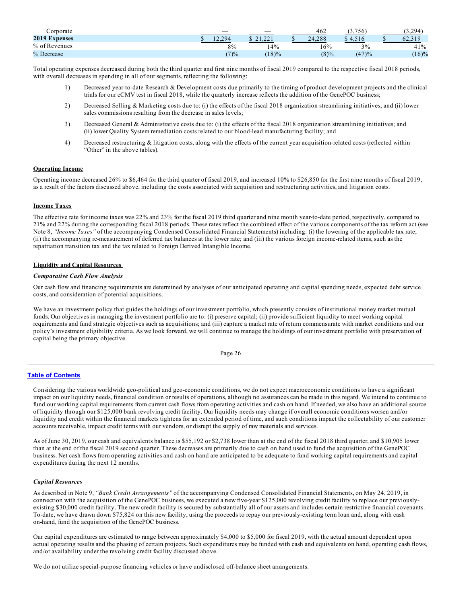| ∠orporate       | __    |                      | 462     | 756,<br>. J . | (3.294)  |
|-----------------|-------|----------------------|---------|---------------|----------|
| 2019 Expenses   | 2.294 | \$21221<br>$21.22$ . | 24.288  | \$4.516       | 62,319   |
| $%$ of Revenues | 8%    | 14%                  | $16\%$  | 3%            | 41%      |
| $%$ Decrease    | (7)%  | $(18)\%$             | $(8)\%$ | (47)%         | $(16)\%$ |

Total operating expenses decreased during both the third quarter and first nine months of fiscal 2019 compared to the respective fiscal 2018 periods, with overall decreases in spending in all of our segments, reflecting the following:

- 1) Decreased year-to-date Research & Development costs due primarily to the timing of product development projects and the clinical trials for our cCMV test in fiscal 2018, while the quarterly increase reflects the addition of the GenePOC business;
- 2) Decreased Selling & Marketing costs due to: (i) the effects of the fiscal 2018 organization streamlining initiatives; and (ii) lower sales commissions resulting from the decrease in sales levels;
- 3) Decreased General & Administrative costs due to: (i) the effects of the fiscal 2018 organization streamlining initiatives; and (ii) lower Quality System remediation costs related to our blood-lead manufacturing facility; and
- 4) Decreased restructuring & litigation costs, along with the effects of the current year acquisition-related costs (reflected within "Other" in the above tables).

# **Operating Income**

Operating income decreased 26% to \$6,464 for the third quarter of fiscal 2019, and increased 10% to \$26,850 for the first nine months of fiscal 2019, as a result of the factors discussed above, including the costs associated with acquisition and restructuring activities, and litigation costs.

#### **Income Taxes**

The effective rate for income taxes was 22% and 23% for the fiscal 2019 third quarter and nine month year-to-date period, respectively, compared to 21% and 22% during the corresponding fiscal 2018 periods. These rates reflect the combined effect of the various components of the tax reform act (see Note 8, *"Income Taxes"* of the accompanying Condensed Consolidated Financial Statements) including: (i) the lowering of the applicable tax rate; (ii) the accompanying re-measurement of deferred tax balances at the lower rate; and (iii) the various foreign income-related items, such as the repatriation transition tax and the tax related to Foreign Derived Intangible Income.

#### **Liquidity and Capital Resources**

#### *Comparative Cash Flow Analysis*

Our cash flow and financing requirements are determined by analyses of our anticipated operating and capital spending needs, expected debt service costs, and consideration of potential acquisitions.

We have an investment policy that guides the holdings of our investment portfolio, which presently consists of institutional money market mutual funds. Our objectives in managing the investment portfolio are to: (i) preserve capital; (ii) provide sufficient liquidity to meet working capital requirements and fund strategic objectives such as acquisitions; and (iii) capture a market rate of return commensurate with market conditions and our policy's investment eligibility criteria. As we look forward, we will continue to manage the holdings of our investment portfolio with preservation of capital being the primary objective.

Page 26

#### **Table of Contents**

Considering the various worldwide geo-political and geo-economic conditions, we do not expect macroeconomic conditions to have a significant impact on our liquidity needs, financial condition or results of operations, although no assurances can be made in this regard. We intend to continue to fund our working capital requirements from current cash flows from operating activities and cash on hand. If needed, we also have an additional source of liquidity through our \$125,000 bank revolving credit facility. Our liquidity needs may change if overall economic conditions worsen and/or liquidity and credit within the financial markets tightens for an extended period of time, and such conditions impact the collectability of our customer accounts receivable, impact credit terms with our vendors, or disrupt the supply of raw materials and services.

As of June 30, 2019, our cash and equivalents balance is \$55,192 or \$2,738 lower than at the end of the fiscal 2018 third quarter, and \$10,905 lower than at the end of the fiscal 2019 second quarter. These decreases are primarily due to cash on hand used to fund the acquisition of the GenePOC business. Net cash flows from operating activities and cash on hand are anticipated to be adequate to fund working capital requirements and capital expenditures during the next 12 months.

# *Capital Resources*

As described in Note 9, *"Bank Credit Arrangements"* of the accompanying Condensed Consolidated Financial Statements, on May 24, 2019, in connection with the acquisition of the GenePOC business, we executed a new five-year \$125,000 revolving credit facility to replace our previouslyexisting \$30,000 credit facility. The new credit facility is secured by substantially all of our assets and includes certain restrictive financial covenants. To-date, we have drawn down \$75,824 on this new facility, using the proceeds to repay our previously-existing term loan and, along with cash on-hand, fund the acquisition of the GenePOC business.

Our capital expenditures are estimated to range between approximately \$4,000 to \$5,000 for fiscal 2019, with the actual amount dependent upon actual operating results and the phasing of certain projects. Such expenditures may be funded with cash and equivalents on hand, operating cash flows, and/or availability under the revolving credit facility discussed above.

We do not utilize special-purpose financing vehicles or have undisclosed off-balance sheet arrangements.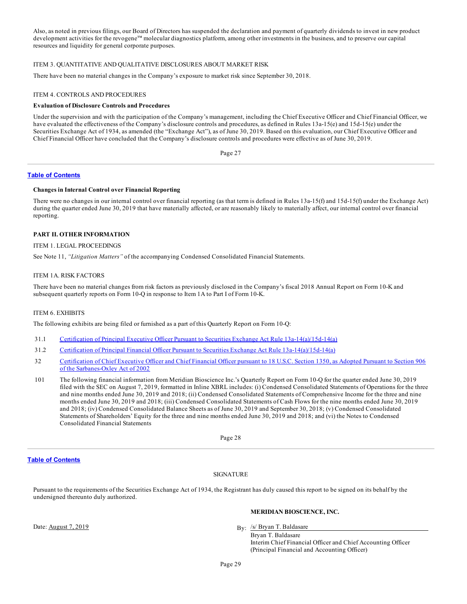Also, as noted in previous filings, our Board of Directors has suspended the declaration and payment of quarterly dividends to invest in new product development activities for the revogene™ molecular diagnostics platform, among other investments in the business, and to preserve our capital resources and liquidity for general corporate purposes.

# ITEM 3. QUANTITATIVE AND QUALITATIVE DISCLOSURES ABOUT MARKET RISK

There have been no material changes in the Company's exposure to market risk since September 30, 2018.

#### ITEM 4. CONTROLS AND PROCEDURES

#### **Evaluation of Disclosure Controls and Procedures**

Under the supervision and with the participation of the Company's management, including the Chief Executive Officer and Chief Financial Officer, we have evaluated the effectiveness of the Company's disclosure controls and procedures, as defined in Rules 13a-15(e) and 15d-15(e) under the Securities Exchange Act of 1934, as amended (the "Exchange Act"), as of June 30, 2019. Based on this evaluation, our Chief Executive Officer and Chief Financial Officer have concluded that the Company's disclosure controls and procedures were effective as of June 30, 2019.

Page 27

#### **Table of Contents**

#### **Changes in Internal Control over Financial Reporting**

There were no changes in our internal control over financial reporting (as that term is defined in Rules 13a-15(f) and 15d-15(f) under the Exchange Act) during the quarter ended June 30, 2019 that have materially affected, or are reasonably likely to materially affect, our internal control over financial reporting.

# **PART II. OTHER INFORMATION**

#### ITEM 1. LEGAL PROCEEDINGS

See Note 11, *"Litigation Matters"* of the accompanying Condensed Consolidated Financial Statements.

#### ITEM 1A. RISK FACTORS

There have been no material changes from risk factors as previously disclosed in the Company's fiscal 2018 Annual Report on Form 10-K and subsequent quarterly reports on Form 10-Q in response to Item 1A to Part I of Form 10-K.

#### ITEM 6. EXHIBITS

The following exhibits are being filed or furnished as a part of this Quarterly Report on Form 10-Q:

- 31.1 Certification of Principal Executive Officer Pursuant to Securities Exchange Act Rule [13a-14\(a\)/15d-14\(a\)](#page-20-0)
- 31.2 Certification of Principal Financial Officer Pursuant to Securities Exchange Act Rule [13a-14\(a\)/15d-14\(a\)](#page-21-0)
- 32 [Certification](#page-22-0) of Chief Executive Officer and Chief Financial Officer pursuant to 18 U.S.C. Section 1350, as Adopted Pursuant to Section 906 of the Sarbanes-Oxley Act of 2002
- 101 The following financial information from Meridian Bioscience Inc.'s Quarterly Report on Form 10-Q for the quarter ended June 30, 2019 filed with the SEC on August 7, 2019, formatted in Inline XBRL includes: (i) Condensed Consolidated Statements of Operations for the three and nine months ended June 30, 2019 and 2018; (ii) Condensed Consolidated Statements of Comprehensive Income for the three and nine months ended June 30, 2019 and 2018; (iii) Condensed Consolidated Statements of Cash Flows for the nine months ended June 30, 2019 and 2018; (iv) Condensed Consolidated Balance Sheets as of June 30, 2019 and September 30, 2018; (v) Condensed Consolidated Statements of Shareholders' Equity for the three and nine months ended June 30, 2019 and 2018; and (vi) the Notes to Condensed Consolidated Financial Statements

Page 28

#### **Table of Contents**

#### SIGNATURE

Pursuant to the requirements of the Securities Exchange Act of 1934, the Registrant has duly caused this report to be signed on its behalf by the undersigned thereunto duly authorized.

# **MERIDIAN BIOSCIENCE, INC.**

By: /s/ Bryan T. Baldasare Bryan T. Baldasare Interim Chief Financial Officer and Chief Accounting Officer (Principal Financial and Accounting Officer)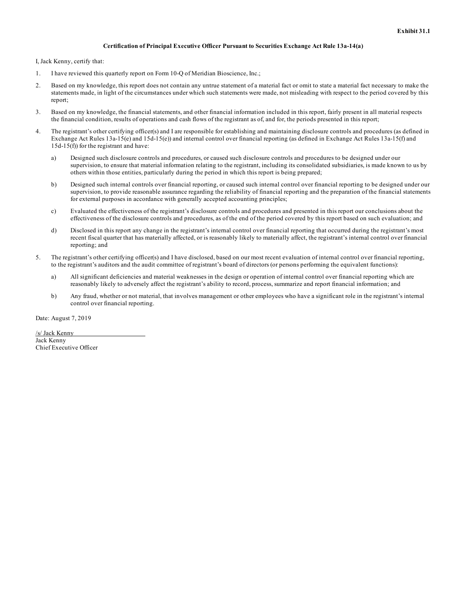#### **Certification of Principal Executive Officer Pursuant to Securities Exchange Act Rule 13a-14(a)**

<span id="page-20-0"></span>I, Jack Kenny, certify that:

- 1. I have reviewed this quarterly report on Form 10-Q of Meridian Bioscience, Inc.;
- 2. Based on my knowledge, this report does not contain any untrue statement of a material fact or omit to state a material fact necessary to make the statements made, in light of the circumstances under which such statements were made, not misleading with respect to the period covered by this report;
- 3. Based on my knowledge, the financial statements, and other financial information included in this report, fairly present in all material respects the financial condition, results of operations and cash flows of the registrant as of, and for, the periods presented in this report;
- 4. The registrant's other certifying officer(s) and I are responsible for establishing and maintaining disclosure controls and procedures (as defined in Exchange Act Rules 13a-15(e) and 15d-15(e)) and internal control over financial reporting (as defined in Exchange Act Rules 13a-15(f) and 15d-15(f)) for the registrant and have:
	- a) Designed such disclosure controls and procedures, or caused such disclosure controls and procedures to be designed under our supervision, to ensure that material information relating to the registrant, including its consolidated subsidiaries, is made known to us by others within those entities, particularly during the period in which this report is being prepared;
	- b) Designed such internal controls over financial reporting, or caused such internal control over financial reporting to be designed under our supervision, to provide reasonable assurance regarding the reliability of financial reporting and the preparation of the financial statements for external purposes in accordance with generally accepted accounting principles;
	- c) Evaluated the effectiveness of the registrant's disclosure controls and procedures and presented in this report our conclusions about the effectiveness of the disclosure controls and procedures, as of the end of the period covered by this report based on such evaluation; and
	- d) Disclosed in this report any change in the registrant's internal control over financial reporting that occurred during the registrant's most recent fiscal quarter that has materially affected, or is reasonably likely to materially affect, the registrant's internal control over financial reporting; and
- 5. The registrant's other certifying officer(s) and I have disclosed, based on our most recent evaluation of internal control over financial reporting, to the registrant's auditors and the audit committee of registrant's board of directors (or persons performing the equivalent functions):
	- a) All significant deficiencies and material weaknesses in the design or operation of internal control over financial reporting which are reasonably likely to adversely affect the registrant's ability to record, process, summarize and report financial information; and
	- b) Any fraud, whether or not material, that involves management or other employees who have a significant role in the registrant's internal control over financial reporting.

Date: August 7, 2019

/s/ Jack Kenny Jack Kenny Chief Executive Officer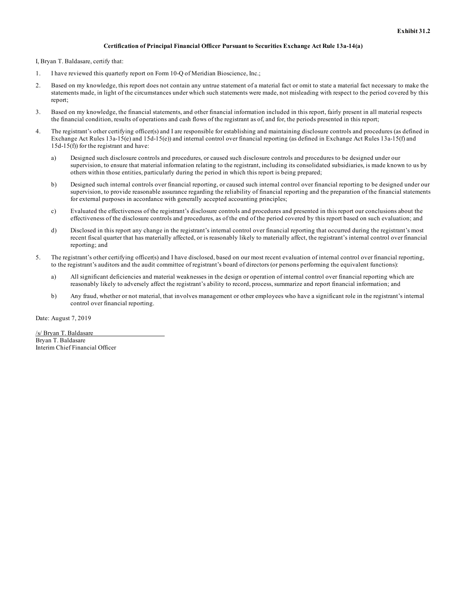#### **Certification of Principal Financial Officer Pursuant to Securities Exchange Act Rule 13a-14(a)**

<span id="page-21-0"></span>I, Bryan T. Baldasare, certify that:

- 1. I have reviewed this quarterly report on Form 10-Q of Meridian Bioscience, Inc.;
- 2. Based on my knowledge, this report does not contain any untrue statement of a material fact or omit to state a material fact necessary to make the statements made, in light of the circumstances under which such statements were made, not misleading with respect to the period covered by this report;
- 3. Based on my knowledge, the financial statements, and other financial information included in this report, fairly present in all material respects the financial condition, results of operations and cash flows of the registrant as of, and for, the periods presented in this report;
- 4. The registrant's other certifying officer(s) and I are responsible for establishing and maintaining disclosure controls and procedures (as defined in Exchange Act Rules 13a-15(e) and 15d-15(e)) and internal control over financial reporting (as defined in Exchange Act Rules 13a-15(f) and 15d-15(f)) for the registrant and have:
	- a) Designed such disclosure controls and procedures, or caused such disclosure controls and procedures to be designed under our supervision, to ensure that material information relating to the registrant, including its consolidated subsidiaries, is made known to us by others within those entities, particularly during the period in which this report is being prepared;
	- b) Designed such internal controls over financial reporting, or caused such internal control over financial reporting to be designed under our supervision, to provide reasonable assurance regarding the reliability of financial reporting and the preparation of the financial statements for external purposes in accordance with generally accepted accounting principles;
	- c) Evaluated the effectiveness of the registrant's disclosure controls and procedures and presented in this report our conclusions about the effectiveness of the disclosure controls and procedures, as of the end of the period covered by this report based on such evaluation; and
	- d) Disclosed in this report any change in the registrant's internal control over financial reporting that occurred during the registrant's most recent fiscal quarter that has materially affected, or is reasonably likely to materially affect, the registrant's internal control over financial reporting; and
- 5. The registrant's other certifying officer(s) and I have disclosed, based on our most recent evaluation of internal control over financial reporting, to the registrant's auditors and the audit committee of registrant's board of directors (or persons performing the equivalent functions):
	- a) All significant deficiencies and material weaknesses in the design or operation of internal control over financial reporting which are reasonably likely to adversely affect the registrant's ability to record, process, summarize and report financial information; and
	- b) Any fraud, whether or not material, that involves management or other employees who have a significant role in the registrant's internal control over financial reporting.

Date: August 7, 2019

/s/ Bryan T. Baldasare Bryan T. Baldasare Interim Chief Financial Officer